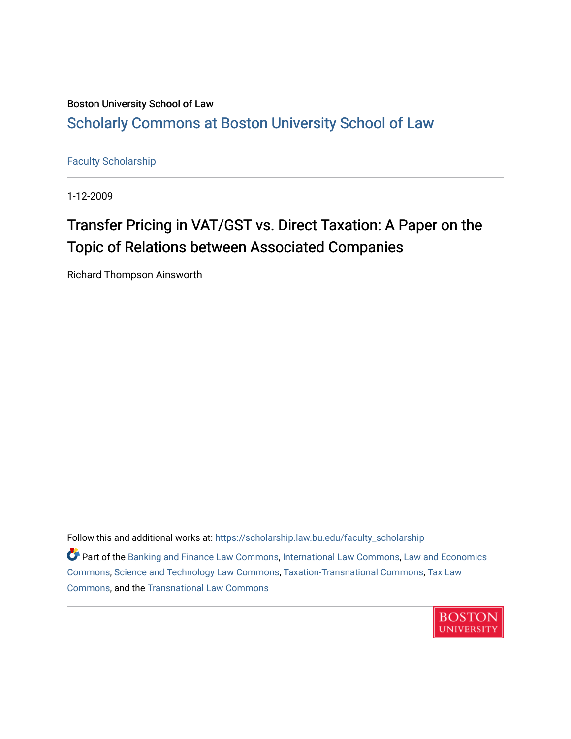# Boston University School of Law [Scholarly Commons at Boston University School of Law](https://scholarship.law.bu.edu/)

[Faculty Scholarship](https://scholarship.law.bu.edu/faculty_scholarship)

1-12-2009

# Transfer Pricing in VAT/GST vs. Direct Taxation: A Paper on the Topic of Relations between Associated Companies

Richard Thompson Ainsworth

Follow this and additional works at: [https://scholarship.law.bu.edu/faculty\\_scholarship](https://scholarship.law.bu.edu/faculty_scholarship?utm_source=scholarship.law.bu.edu%2Ffaculty_scholarship%2F1485&utm_medium=PDF&utm_campaign=PDFCoverPages)

**P** Part of the [Banking and Finance Law Commons,](http://network.bepress.com/hgg/discipline/833?utm_source=scholarship.law.bu.edu%2Ffaculty_scholarship%2F1485&utm_medium=PDF&utm_campaign=PDFCoverPages) [International Law Commons,](http://network.bepress.com/hgg/discipline/609?utm_source=scholarship.law.bu.edu%2Ffaculty_scholarship%2F1485&utm_medium=PDF&utm_campaign=PDFCoverPages) [Law and Economics](http://network.bepress.com/hgg/discipline/612?utm_source=scholarship.law.bu.edu%2Ffaculty_scholarship%2F1485&utm_medium=PDF&utm_campaign=PDFCoverPages) [Commons](http://network.bepress.com/hgg/discipline/612?utm_source=scholarship.law.bu.edu%2Ffaculty_scholarship%2F1485&utm_medium=PDF&utm_campaign=PDFCoverPages), [Science and Technology Law Commons,](http://network.bepress.com/hgg/discipline/875?utm_source=scholarship.law.bu.edu%2Ffaculty_scholarship%2F1485&utm_medium=PDF&utm_campaign=PDFCoverPages) [Taxation-Transnational Commons](http://network.bepress.com/hgg/discipline/883?utm_source=scholarship.law.bu.edu%2Ffaculty_scholarship%2F1485&utm_medium=PDF&utm_campaign=PDFCoverPages), [Tax Law](http://network.bepress.com/hgg/discipline/898?utm_source=scholarship.law.bu.edu%2Ffaculty_scholarship%2F1485&utm_medium=PDF&utm_campaign=PDFCoverPages) [Commons](http://network.bepress.com/hgg/discipline/898?utm_source=scholarship.law.bu.edu%2Ffaculty_scholarship%2F1485&utm_medium=PDF&utm_campaign=PDFCoverPages), and the [Transnational Law Commons](http://network.bepress.com/hgg/discipline/1123?utm_source=scholarship.law.bu.edu%2Ffaculty_scholarship%2F1485&utm_medium=PDF&utm_campaign=PDFCoverPages)

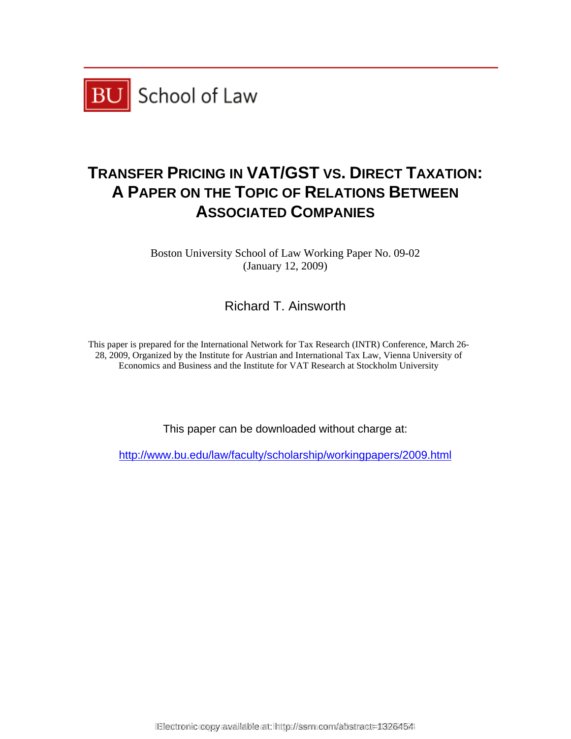

# **TRANSFER PRICING IN VAT/GST VS. DIRECT TAXATION: A PAPER ON THE TOPIC OF RELATIONS BETWEEN ASSOCIATED COMPANIES**

Boston University School of Law Working Paper No. 09-02 (January 12, 2009)

# Richard T. Ainsworth

This paper is prepared for the International Network for Tax Research (INTR) Conference, March 26- 28, 2009, Organized by the Institute for Austrian and International Tax Law, Vienna University of Economics and Business and the Institute for VAT Research at Stockholm University

This paper can be downloaded without charge at:

http://www.bu.edu/law/faculty/scholarship/workingpapers/2009.html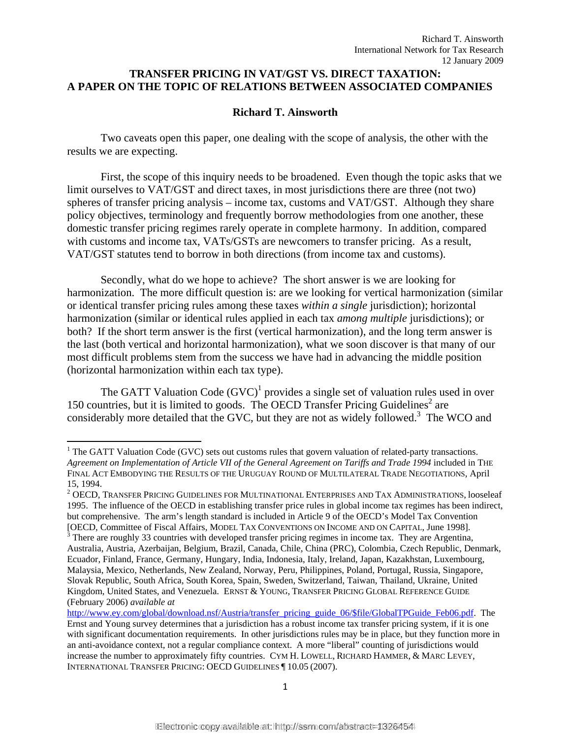# **TRANSFER PRICING IN VAT/GST VS. DIRECT TAXATION: A PAPER ON THE TOPIC OF RELATIONS BETWEEN ASSOCIATED COMPANIES**

## **Richard T. Ainsworth**

 Two caveats open this paper, one dealing with the scope of analysis, the other with the results we are expecting.

First, the scope of this inquiry needs to be broadened. Even though the topic asks that we limit ourselves to VAT/GST and direct taxes, in most jurisdictions there are three (not two) spheres of transfer pricing analysis – income tax, customs and VAT/GST. Although they share policy objectives, terminology and frequently borrow methodologies from one another, these domestic transfer pricing regimes rarely operate in complete harmony. In addition, compared with customs and income tax, VATs/GSTs are newcomers to transfer pricing. As a result, VAT/GST statutes tend to borrow in both directions (from income tax and customs).

Secondly, what do we hope to achieve? The short answer is we are looking for harmonization. The more difficult question is: are we looking for vertical harmonization (similar or identical transfer pricing rules among these taxes *within a single* jurisdiction); horizontal harmonization (similar or identical rules applied in each tax *among multiple* jurisdictions); or both? If the short term answer is the first (vertical harmonization), and the long term answer is the last (both vertical and horizontal harmonization), what we soon discover is that many of our most difficult problems stem from the success we have had in advancing the middle position (horizontal harmonization within each tax type).

The GATT Valuation Code  $(GVC)^1$  provides a single set of valuation rules used in over 150 countries, but it is limited to goods. The OECD Transfer Pricing Guidelines<sup>2</sup> are considerably more detailed that the GVC, but they are not as widely followed.<sup>3</sup> The WCO and

 <sup>1</sup> The GATT Valuation Code (GVC) sets out customs rules that govern valuation of related-party transactions. Agreement on Implementation of Article VII of the General Agreement on Tariffs and Trade 1994 included in THE FINAL ACT EMBODYING THE RESULTS OF THE URUGUAY ROUND OF MULTILATERAL TRADE NEGOTIATIONS, April 15, 1994.

 $^2$  OECD, Transfer Pricing Guidelines for Multinational Enterprises and Tax Administrations, looseleaf 1995. The influence of the OECD in establishing transfer price rules in global income tax regimes has been indirect, but comprehensive. The arm's length standard is included in Article 9 of the OECD's Model Tax Convention [OECD, Committee of Fiscal Affairs, MODEL TAX CONVENTIONS ON INCOME AND ON CAPITAL, June 1998].<br><sup>3</sup> There are roughly 33 countries with developed transfer pricing regimes in income tax. They are Argentina,

Australia, Austria, Azerbaijan, Belgium, Brazil, Canada, Chile, China (PRC), Colombia, Czech Republic, Denmark, Ecuador, Finland, France, Germany, Hungary, India, Indonesia, Italy, Ireland, Japan, Kazakhstan, Luxembourg, Malaysia, Mexico, Netherlands, New Zealand, Norway, Peru, Philippines, Poland, Portugal, Russia, Singapore, Slovak Republic, South Africa, South Korea, Spain, Sweden, Switzerland, Taiwan, Thailand, Ukraine, United Kingdom, United States, and Venezuela. ERNST & YOUNG, TRANSFER PRICING GLOBAL REFERENCE GUIDE (February 2006) *available at* 

http://www.ey.com/global/download.nsf/Austria/transfer\_pricing\_guide\_06/\$file/GlobalTPGuide\_Feb06.pdf. The Ernst and Young survey determines that a jurisdiction has a robust income tax transfer pricing system, if it is one with significant documentation requirements. In other jurisdictions rules may be in place, but they function more in an anti-avoidance context, not a regular compliance context. A more "liberal" counting of jurisdictions would increase the number to approximately fifty countries. CYM H. LOWELL, RICHARD HAMMER, & MARC LEVEY, INTERNATIONAL TRANSFER PRICING: OECD GUIDELINES ¶ 10.05 (2007).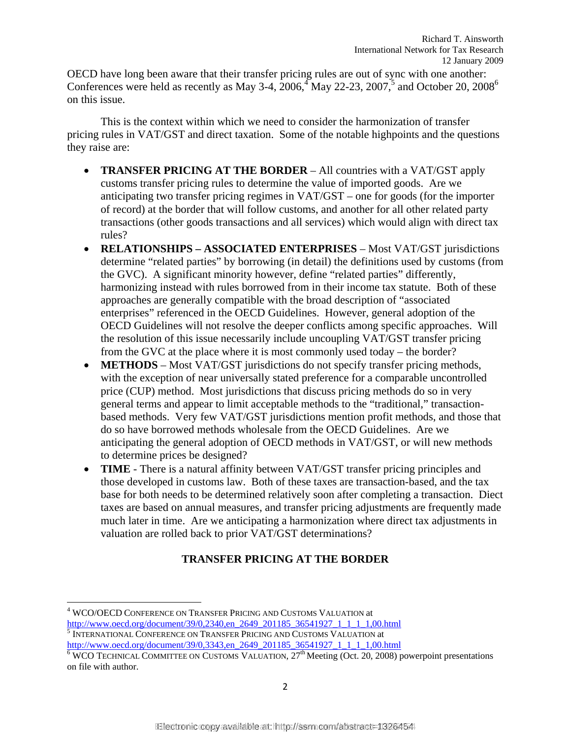OECD have long been aware that their transfer pricing rules are out of sync with one another: Conferences were held as recently as May 3-4,  $2006<sup>4</sup>$  May 22-23, 2007,<sup>5</sup> and October 20, 2008<sup>6</sup> on this issue.

This is the context within which we need to consider the harmonization of transfer pricing rules in VAT/GST and direct taxation. Some of the notable highpoints and the questions they raise are:

- **TRANSFER PRICING AT THE BORDER** All countries with a VAT/GST apply customs transfer pricing rules to determine the value of imported goods. Are we anticipating two transfer pricing regimes in VAT/GST – one for goods (for the importer of record) at the border that will follow customs, and another for all other related party transactions (other goods transactions and all services) which would align with direct tax rules?
- **RELATIONSHIPS ASSOCIATED ENTERPRISES** Most VAT/GST jurisdictions determine "related parties" by borrowing (in detail) the definitions used by customs (from the GVC). A significant minority however, define "related parties" differently, harmonizing instead with rules borrowed from in their income tax statute. Both of these approaches are generally compatible with the broad description of "associated enterprises" referenced in the OECD Guidelines. However, general adoption of the OECD Guidelines will not resolve the deeper conflicts among specific approaches. Will the resolution of this issue necessarily include uncoupling VAT/GST transfer pricing from the GVC at the place where it is most commonly used today – the border?
- **METHODS** Most VAT/GST jurisdictions do not specify transfer pricing methods, with the exception of near universally stated preference for a comparable uncontrolled price (CUP) method. Most jurisdictions that discuss pricing methods do so in very general terms and appear to limit acceptable methods to the "traditional," transactionbased methods. Very few VAT/GST jurisdictions mention profit methods, and those that do so have borrowed methods wholesale from the OECD Guidelines. Are we anticipating the general adoption of OECD methods in VAT/GST, or will new methods to determine prices be designed?
- **TIME** There is a natural affinity between VAT/GST transfer pricing principles and those developed in customs law. Both of these taxes are transaction-based, and the tax base for both needs to be determined relatively soon after completing a transaction. Diect taxes are based on annual measures, and transfer pricing adjustments are frequently made much later in time. Are we anticipating a harmonization where direct tax adjustments in valuation are rolled back to prior VAT/GST determinations?

# **TRANSFER PRICING AT THE BORDER**

<sup>4</sup> WCO/OECD CONFERENCE ON TRANSFER PRICING AND CUSTOMS VALUATION at http://www.oecd.org/document/39/0,2340,en\_2649\_201185\_36541927\_1\_1\_1\_1,00.html  $^5$  INTERNATIONAL CONFERENCE ON TRANSFER PRICING AND CUSTOMS VALUATION at

http://www.oecd.org/document/39/0,3343,en\_2649\_201185\_36541927\_1\_1\_1\_1,00.html<br><sup>6</sup> WCO TECHNICAL COMMITTEE ON CUSTOMS VALUATION, 27<sup>th</sup> Meeting (Oct. 20, 2008) powerpoint presentations on file with author.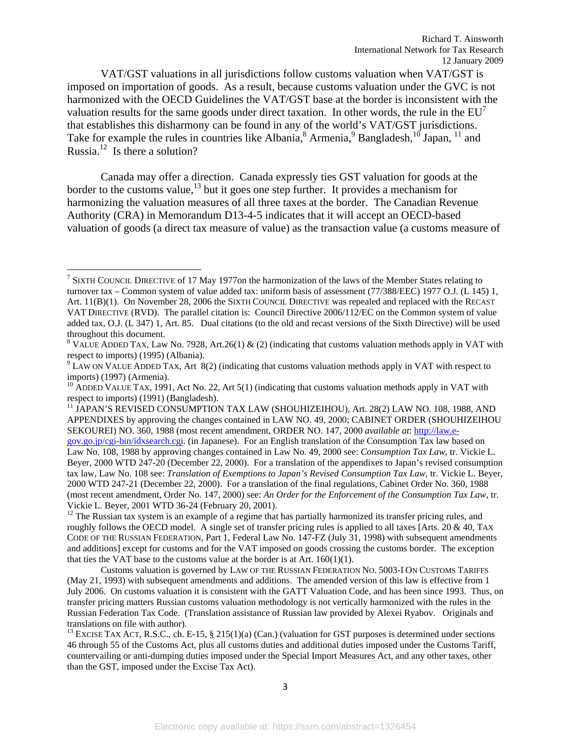VAT/GST valuations in all jurisdictions follow customs valuation when VAT/GST is imposed on importation of goods. As a result, because customs valuation under the GVC is not harmonized with the OECD Guidelines the VAT/GST base at the border is inconsistent with the valuation results for the same goods under direct taxation. In other words, the rule in the  $EU'$ that establishes this disharmony can be found in any of the world's VAT/GST jurisdictions. Take for example the rules in countries like Albania, <sup>8</sup> Armenia,  $9$  Bangladesh,  $10$  Japan,  $11$  and Russia.<sup>12</sup> Is there a solution?

Canada may offer a direction. Canada expressly ties GST valuation for goods at the border to the customs value,<sup>13</sup> but it goes one step further. It provides a mechanism for harmonizing the valuation measures of all three taxes at the border. The Canadian Revenue Authority (CRA) in Memorandum D13-4-5 indicates that it will accept an OECD-based valuation of goods (a direct tax measure of value) as the transaction value (a customs measure of

<sup>&</sup>lt;sup>7</sup> SIXTH COUNCIL DIRECTIVE of 17 May 1977on the harmonization of the laws of the Member States relating to turnover tax – Common system of value added tax: uniform basis of assessment (77/388/EEC) 1977 O.J. (L 145) 1, Art. 11(B)(1). On November 28, 2006 the SIXTH COUNCIL DIRECTIVE was repealed and replaced with the RECAST VAT DIRECTIVE (RVD). The parallel citation is: Council Directive 2006/112/EC on the Common system of value added tax, O.J. (L 347) 1, Art. 85. Dual citations (to the old and recast versions of the Sixth Directive) will be used throughout this document.

<sup>&</sup>lt;sup>8</sup> VALUE ADDED TAX, Law No. 7928, Art.26(1) & (2) (indicating that customs valuation methods apply in VAT with respect to imports) (1995) (Albania).

 $9$  LAW ON VALUE ADDED TAX, Art  $8(2)$  (indicating that customs valuation methods apply in VAT with respect to imports) (1997) (Armenia).

 $10$  ADDED VALUE TAX, 1991, Act No. 22, Art 5(1) (indicating that customs valuation methods apply in VAT with respect to imports) (1991) (Bangladesh).

<sup>&</sup>lt;sup>11</sup> JAPAN'S REVISED CONSUMPTION TAX LAW (SHOUHIZEIHOU), Art. 28(2) LAW NO. 108, 1988, AND APPENDIXES by approving the changes contained in LAW NO. 49, 2000; CABINET ORDER (SHOUHIZEIHOU SEKOUREI) NO. 360, 1988 (most recent amendment, ORDER NO. 147, 2000 *available at*: http://law.egov.go.jp/cgi-bin/idxsearch.cgi. (in Japanese). For an English translation of the Consumption Tax law based on Law No. 108, 1988 by approving changes contained in Law No. 49, 2000 see: *Consumption Tax Law*, tr. Vickie L. Beyer, 2000 WTD 247-20 (December 22, 2000). For a translation of the appendixes to Japan's revised consumption tax law, Law No. 108 see: *Translation of Exemptions to Japan's Revised Consumption Tax Law*, tr. Vickie L. Beyer, 2000 WTD 247-21 (December 22, 2000). For a translation of the final regulations, Cabinet Order No. 360, 1988 (most recent amendment, Order No. 147, 2000) see: *An Order for the Enforcement of the Consumption Tax Law*, tr. Vickie L. Beyer, 2001 WTD 36-24 (February 20, 2001).

 $12$  The Russian tax system is an example of a regime that has partially harmonized its transfer pricing rules, and roughly follows the OECD model. A single set of transfer pricing rules is applied to all taxes [Arts. 20 & 40, TAX CODE OF THE RUSSIAN FEDERATION, Part 1, Federal Law No. 147-FZ (July 31, 1998) with subsequent amendments and additions] except for customs and for the VAT imposed on goods crossing the customs border. The exception that ties the VAT base to the customs value at the border is at Art.  $160(1)(1)$ .

Customs valuation is governed by LAW OF THE RUSSIAN FEDERATION NO. 5003-I ON CUSTOMS TARIFFS (May 21, 1993) with subsequent amendments and additions. The amended version of this law is effective from 1 July 2006. On customs valuation it is consistent with the GATT Valuation Code, and has been since 1993. Thus, on transfer pricing matters Russian customs valuation methodology is not vertically harmonized with the rules in the Russian Federation Tax Code. (Translation assistance of Russian law provided by Alexei Ryabov. Originals and translations on file with author).

<sup>&</sup>lt;sup>13</sup> EXCISE TAX ACT, R.S.C., ch. E-15, § 215(1)(a) (Can.) (valuation for GST purposes is determined under sections 46 through 55 of the Customs Act, plus all customs duties and additional duties imposed under the Customs Tariff, countervailing or anti-dumping duties imposed under the Special Import Measures Act, and any other taxes, other than the GST, imposed under the Excise Tax Act).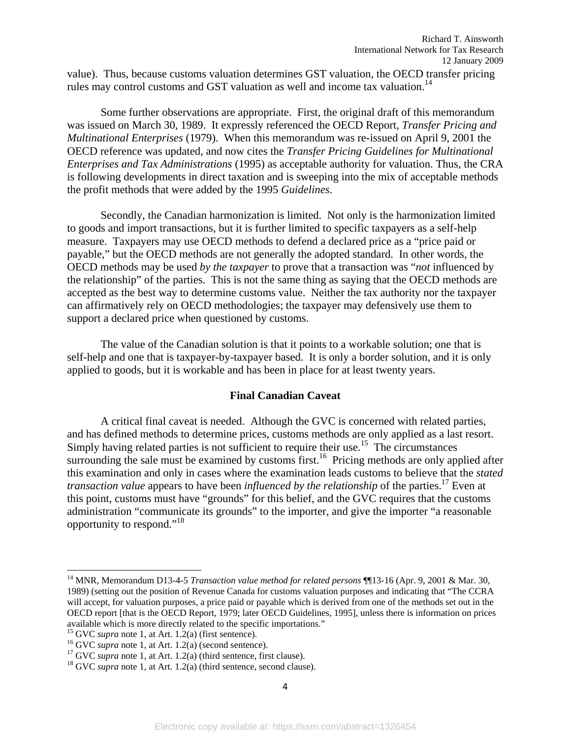value). Thus, because customs valuation determines GST valuation, the OECD transfer pricing rules may control customs and GST valuation as well and income tax valuation.<sup>14</sup>

Some further observations are appropriate. First, the original draft of this memorandum was issued on March 30, 1989. It expressly referenced the OECD Report, *Transfer Pricing and Multinational Enterprises* (1979). When this memorandum was re-issued on April 9, 2001 the OECD reference was updated, and now cites the *Transfer Pricing Guidelines for Multinational Enterprises and Tax Administrations* (1995) as acceptable authority for valuation. Thus, the CRA is following developments in direct taxation and is sweeping into the mix of acceptable methods the profit methods that were added by the 1995 *Guidelines*.

Secondly, the Canadian harmonization is limited. Not only is the harmonization limited to goods and import transactions, but it is further limited to specific taxpayers as a self-help measure. Taxpayers may use OECD methods to defend a declared price as a "price paid or payable," but the OECD methods are not generally the adopted standard. In other words, the OECD methods may be used *by the taxpayer* to prove that a transaction was "*not* influenced by the relationship" of the parties. This is not the same thing as saying that the OECD methods are accepted as the best way to determine customs value. Neither the tax authority nor the taxpayer can affirmatively rely on OECD methodologies; the taxpayer may defensively use them to support a declared price when questioned by customs.

The value of the Canadian solution is that it points to a workable solution; one that is self-help and one that is taxpayer-by-taxpayer based. It is only a border solution, and it is only applied to goods, but it is workable and has been in place for at least twenty years.

#### **Final Canadian Caveat**

A critical final caveat is needed. Although the GVC is concerned with related parties, and has defined methods to determine prices, customs methods are only applied as a last resort. Simply having related parties is not sufficient to require their use.<sup>15</sup> The circumstances surrounding the sale must be examined by customs first.<sup>16</sup> Pricing methods are only applied after this examination and only in cases where the examination leads customs to believe that the *stated transaction value* appears to have been *influenced by the relationship* of the parties.<sup>17</sup> Even at this point, customs must have "grounds" for this belief, and the GVC requires that the customs administration "communicate its grounds" to the importer, and give the importer "a reasonable opportunity to respond."18

<sup>14</sup> MNR, Memorandum D13-4-5 *Transaction value method for related persons* ¶¶13-16 (Apr. 9, 2001 & Mar. 30, 1989) (setting out the position of Revenue Canada for customs valuation purposes and indicating that "The CCRA will accept, for valuation purposes, a price paid or payable which is derived from one of the methods set out in the OECD report [that is the OECD Report, 1979; later OECD Guidelines, 1995], unless there is information on prices available which is more directly related to the specific importations."<br><sup>15</sup> GVC *supra* note 1, at Art. 1.2(a) (first sentence).<br><sup>16</sup> GVC *supra* note 1, at Art. 1.2(a) (second sentence).<br><sup>17</sup> GVC *supra* note 1, at Art.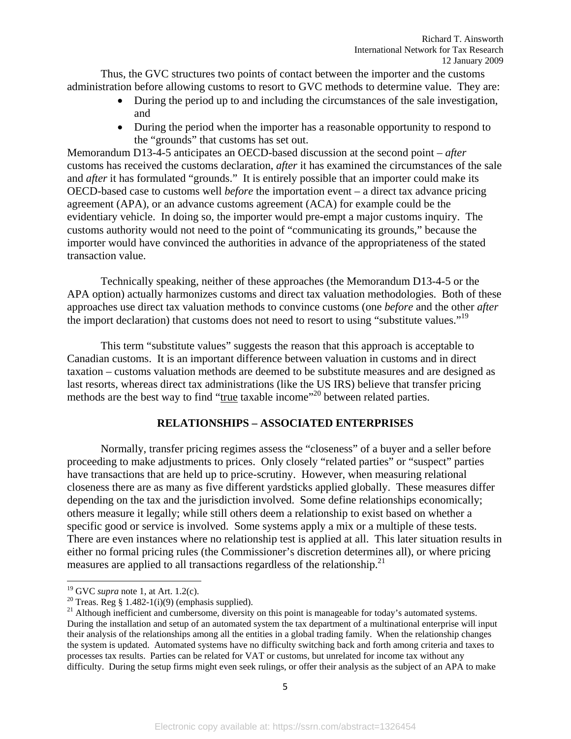Thus, the GVC structures two points of contact between the importer and the customs administration before allowing customs to resort to GVC methods to determine value. They are:

- During the period up to and including the circumstances of the sale investigation, and
- During the period when the importer has a reasonable opportunity to respond to the "grounds" that customs has set out.

Memorandum D13-4-5 anticipates an OECD-based discussion at the second point – *after* customs has received the customs declaration, *after* it has examined the circumstances of the sale and *after* it has formulated "grounds." It is entirely possible that an importer could make its OECD-based case to customs well *before* the importation event – a direct tax advance pricing agreement (APA), or an advance customs agreement (ACA) for example could be the evidentiary vehicle. In doing so, the importer would pre-empt a major customs inquiry. The customs authority would not need to the point of "communicating its grounds," because the importer would have convinced the authorities in advance of the appropriateness of the stated transaction value.

Technically speaking, neither of these approaches (the Memorandum D13-4-5 or the APA option) actually harmonizes customs and direct tax valuation methodologies. Both of these approaches use direct tax valuation methods to convince customs (one *before* and the other *after* the import declaration) that customs does not need to resort to using "substitute values."<sup>19</sup>

This term "substitute values" suggests the reason that this approach is acceptable to Canadian customs. It is an important difference between valuation in customs and in direct taxation – customs valuation methods are deemed to be substitute measures and are designed as last resorts, whereas direct tax administrations (like the US IRS) believe that transfer pricing methods are the best way to find "true taxable income"<sup>20</sup> between related parties.

# **RELATIONSHIPS – ASSOCIATED ENTERPRISES**

Normally, transfer pricing regimes assess the "closeness" of a buyer and a seller before proceeding to make adjustments to prices. Only closely "related parties" or "suspect" parties have transactions that are held up to price-scrutiny. However, when measuring relational closeness there are as many as five different yardsticks applied globally. These measures differ depending on the tax and the jurisdiction involved. Some define relationships economically; others measure it legally; while still others deem a relationship to exist based on whether a specific good or service is involved. Some systems apply a mix or a multiple of these tests. There are even instances where no relationship test is applied at all. This later situation results in either no formal pricing rules (the Commissioner's discretion determines all), or where pricing measures are applied to all transactions regardless of the relationship.<sup>21</sup>

<sup>&</sup>lt;sup>19</sup> GVC *supra* note 1, at Art. 1.2(c).<br><sup>20</sup> Treas. Reg § 1.482-1(i)(9) (emphasis supplied).

<sup>&</sup>lt;sup>21</sup> Although inefficient and cumbersome, diversity on this point is manageable for today's automated systems. During the installation and setup of an automated system the tax department of a multinational enterprise will input their analysis of the relationships among all the entities in a global trading family. When the relationship changes the system is updated. Automated systems have no difficulty switching back and forth among criteria and taxes to processes tax results. Parties can be related for VAT or customs, but unrelated for income tax without any difficulty. During the setup firms might even seek rulings, or offer their analysis as the subject of an APA to make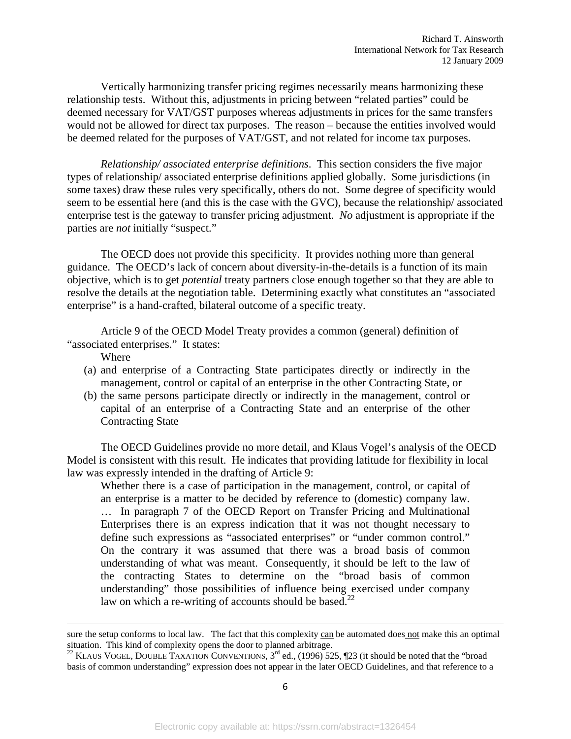Vertically harmonizing transfer pricing regimes necessarily means harmonizing these relationship tests. Without this, adjustments in pricing between "related parties" could be deemed necessary for VAT/GST purposes whereas adjustments in prices for the same transfers would not be allowed for direct tax purposes. The reason – because the entities involved would be deemed related for the purposes of VAT/GST, and not related for income tax purposes.

*Relationship/ associated enterprise definitions*. This section considers the five major types of relationship/ associated enterprise definitions applied globally. Some jurisdictions (in some taxes) draw these rules very specifically, others do not. Some degree of specificity would seem to be essential here (and this is the case with the GVC), because the relationship/ associated enterprise test is the gateway to transfer pricing adjustment. *No* adjustment is appropriate if the parties are *not* initially "suspect."

The OECD does not provide this specificity. It provides nothing more than general guidance. The OECD's lack of concern about diversity-in-the-details is a function of its main objective, which is to get *potential* treaty partners close enough together so that they are able to resolve the details at the negotiation table. Determining exactly what constitutes an "associated enterprise" is a hand-crafted, bilateral outcome of a specific treaty.

Article 9 of the OECD Model Treaty provides a common (general) definition of "associated enterprises." It states:

Where

- (a) and enterprise of a Contracting State participates directly or indirectly in the management, control or capital of an enterprise in the other Contracting State, or
- (b) the same persons participate directly or indirectly in the management, control or capital of an enterprise of a Contracting State and an enterprise of the other Contracting State

The OECD Guidelines provide no more detail, and Klaus Vogel's analysis of the OECD Model is consistent with this result. He indicates that providing latitude for flexibility in local law was expressly intended in the drafting of Article 9:

Whether there is a case of participation in the management, control, or capital of an enterprise is a matter to be decided by reference to (domestic) company law. … In paragraph 7 of the OECD Report on Transfer Pricing and Multinational Enterprises there is an express indication that it was not thought necessary to define such expressions as "associated enterprises" or "under common control." On the contrary it was assumed that there was a broad basis of common understanding of what was meant. Consequently, it should be left to the law of the contracting States to determine on the "broad basis of common understanding" those possibilities of influence being exercised under company law on which a re-writing of accounts should be based.<sup>22</sup>

<sup>&</sup>lt;u> 1989 - Johann Stein, marwolaethau a gweledydd a ganlad y ganlad y ganlad y ganlad y ganlad y ganlad y ganlad</u> sure the setup conforms to local law. The fact that this complexity can be automated does not make this an optimal situation. This kind of complexity opens the door to planned arbitrage.

 $22$  KLAUS VOGEL, DOUBLE TAXATION CONVENTIONS,  $3<sup>rd</sup>$  ed., (1996) 525, ¶23 (it should be noted that the "broad basis of common understanding" expression does not appear in the later OECD Guidelines, and that reference to a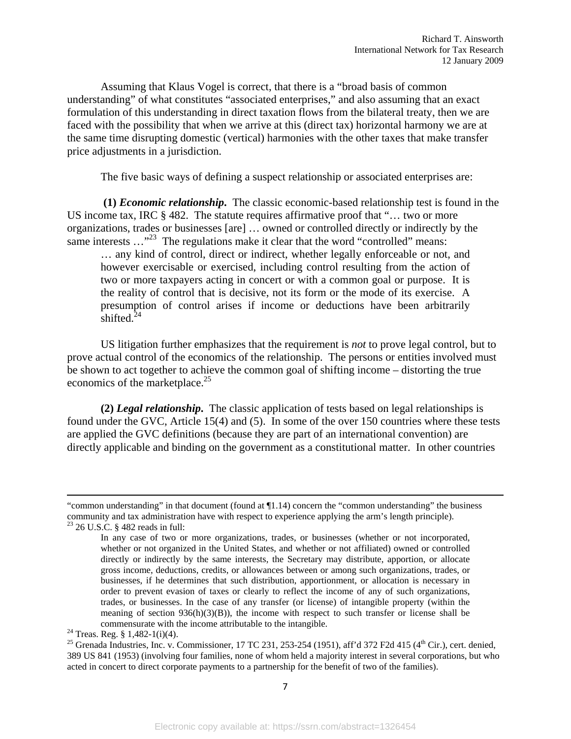Assuming that Klaus Vogel is correct, that there is a "broad basis of common understanding" of what constitutes "associated enterprises," and also assuming that an exact formulation of this understanding in direct taxation flows from the bilateral treaty, then we are faced with the possibility that when we arrive at this (direct tax) horizontal harmony we are at the same time disrupting domestic (vertical) harmonies with the other taxes that make transfer price adjustments in a jurisdiction.

The five basic ways of defining a suspect relationship or associated enterprises are:

**(1)** *Economic relationship***.** The classic economic-based relationship test is found in the US income tax, IRC § 482. The statute requires affirmative proof that "… two or more organizations, trades or businesses [are] … owned or controlled directly or indirectly by the same interests  $\ldots$ <sup>23</sup>. The regulations make it clear that the word "controlled" means:

… any kind of control, direct or indirect, whether legally enforceable or not, and however exercisable or exercised, including control resulting from the action of two or more taxpayers acting in concert or with a common goal or purpose. It is the reality of control that is decisive, not its form or the mode of its exercise. A presumption of control arises if income or deductions have been arbitrarily shifted. $^{24}$ 

US litigation further emphasizes that the requirement is *not* to prove legal control, but to prove actual control of the economics of the relationship. The persons or entities involved must be shown to act together to achieve the common goal of shifting income – distorting the true economics of the marketplace. $^{25}$ 

**(2)** *Legal relationship***.** The classic application of tests based on legal relationships is found under the GVC, Article 15(4) and (5). In some of the over 150 countries where these tests are applied the GVC definitions (because they are part of an international convention) are directly applicable and binding on the government as a constitutional matter. In other countries

<u> 1989 - Johann Stein, marwolaethau a gweledydd a ganlad y ganlad y ganlad y ganlad y ganlad y ganlad y ganlad</u>

<sup>&</sup>quot;common understanding" in that document (found at ¶1.14) concern the "common understanding" the business community and tax administration have with respect to experience applying the arm's length principle). 23 26 U.S.C. § 482 reads in full:

In any case of two or more organizations, trades, or businesses (whether or not incorporated, whether or not organized in the United States, and whether or not affiliated) owned or controlled directly or indirectly by the same interests, the Secretary may distribute, apportion, or allocate gross income, deductions, credits, or allowances between or among such organizations, trades, or businesses, if he determines that such distribution, apportionment, or allocation is necessary in order to prevent evasion of taxes or clearly to reflect the income of any of such organizations, trades, or businesses. In the case of any transfer (or license) of intangible property (within the meaning of section  $936(h)(3)(B)$ , the income with respect to such transfer or license shall be commensurate with the income attributable to the intangible. <sup>24</sup> Treas. Reg. § 1,482-1(i)(4).

<sup>&</sup>lt;sup>25</sup> Grenada Industries, Inc. v. Commissioner, 17 TC 231, 253-254 (1951), aff'd 372 F2d 415 (4<sup>th</sup> Cir.), cert. denied, 389 US 841 (1953) (involving four families, none of whom held a majority interest in several corporations, but who acted in concert to direct corporate payments to a partnership for the benefit of two of the families).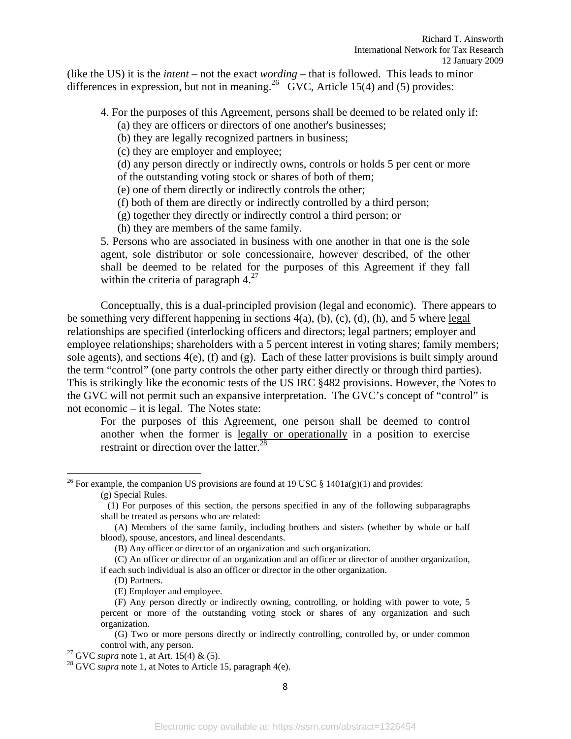(like the US) it is the *intent* – not the exact *wording* – that is followed. This leads to minor differences in expression, but not in meaning.<sup>26</sup> GVC, Article 15(4) and (5) provides:

4. For the purposes of this Agreement, persons shall be deemed to be related only if:

- (a) they are officers or directors of one another's businesses;
- (b) they are legally recognized partners in business;
- (c) they are employer and employee;

(d) any person directly or indirectly owns, controls or holds 5 per cent or more of the outstanding voting stock or shares of both of them;

- (e) one of them directly or indirectly controls the other;
- (f) both of them are directly or indirectly controlled by a third person;
- (g) together they directly or indirectly control a third person; or
- (h) they are members of the same family.

5. Persons who are associated in business with one another in that one is the sole agent, sole distributor or sole concessionaire, however described, of the other shall be deemed to be related for the purposes of this Agreement if they fall within the criteria of paragraph  $4^{27}$ .

Conceptually, this is a dual-principled provision (legal and economic). There appears to be something very different happening in sections 4(a), (b), (c), (d), (h), and 5 where legal relationships are specified (interlocking officers and directors; legal partners; employer and employee relationships; shareholders with a 5 percent interest in voting shares; family members; sole agents), and sections 4(e), (f) and (g). Each of these latter provisions is built simply around the term "control" (one party controls the other party either directly or through third parties). This is strikingly like the economic tests of the US IRC §482 provisions. However, the Notes to the GVC will not permit such an expansive interpretation. The GVC's concept of "control" is not economic – it is legal. The Notes state:

For the purposes of this Agreement, one person shall be deemed to control another when the former is legally or operationally in a position to exercise restraint or direction over the latter. $28$ 

(G) Two or more persons directly or indirectly controlling, controlled by, or under common

<sup>&</sup>lt;sup>26</sup> For example, the companion US provisions are found at 19 USC  $\S$  1401a(g)(1) and provides: (g) Special Rules.

 <sup>(1)</sup> For purposes of this section, the persons specified in any of the following subparagraphs shall be treated as persons who are related:

 <sup>(</sup>A) Members of the same family, including brothers and sisters (whether by whole or half blood), spouse, ancestors, and lineal descendants.

 <sup>(</sup>B) Any officer or director of an organization and such organization.

 <sup>(</sup>C) An officer or director of an organization and an officer or director of another organization, if each such individual is also an officer or director in the other organization.

 <sup>(</sup>D) Partners.

 <sup>(</sup>E) Employer and employee.

 <sup>(</sup>F) Any person directly or indirectly owning, controlling, or holding with power to vote, 5 percent or more of the outstanding voting stock or shares of any organization and such organization.

control with, any person.<br><sup>27</sup> GVC *supra* note 1, at Art. 15(4) & (5).<br><sup>28</sup> GVC *supra* note 1, at Notes to Article 15, paragraph 4(e).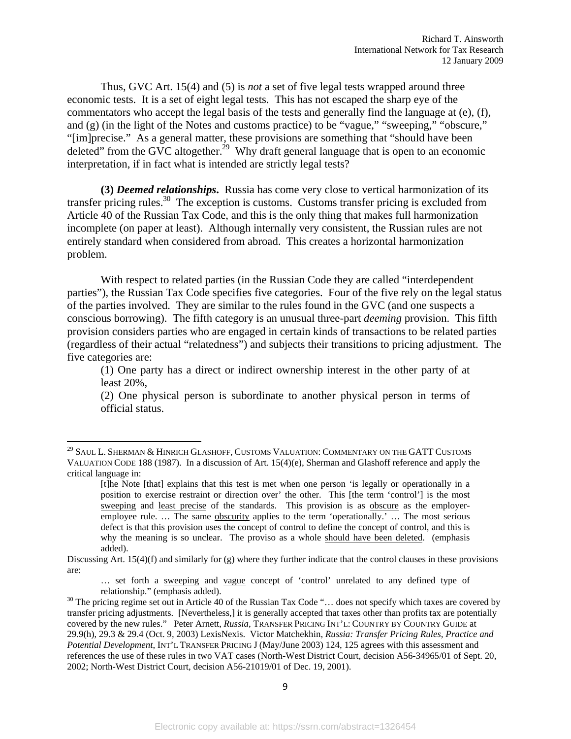Thus, GVC Art. 15(4) and (5) is *not* a set of five legal tests wrapped around three economic tests. It is a set of eight legal tests. This has not escaped the sharp eye of the commentators who accept the legal basis of the tests and generally find the language at (e), (f), and (g) (in the light of the Notes and customs practice) to be "vague," "sweeping," "obscure," "[im]precise." As a general matter, these provisions are something that "should have been deleted" from the GVC altogether.<sup>29</sup> Why draft general language that is open to an economic interpretation, if in fact what is intended are strictly legal tests?

**(3)** *Deemed relationships***.** Russia has come very close to vertical harmonization of its transfer pricing rules.<sup>30</sup> The exception is customs. Customs transfer pricing is excluded from Article 40 of the Russian Tax Code, and this is the only thing that makes full harmonization incomplete (on paper at least). Although internally very consistent, the Russian rules are not entirely standard when considered from abroad. This creates a horizontal harmonization problem.

With respect to related parties (in the Russian Code they are called "interdependent parties"), the Russian Tax Code specifies five categories. Four of the five rely on the legal status of the parties involved. They are similar to the rules found in the GVC (and one suspects a conscious borrowing). The fifth category is an unusual three-part *deeming* provision. This fifth provision considers parties who are engaged in certain kinds of transactions to be related parties (regardless of their actual "relatedness") and subjects their transitions to pricing adjustment. The five categories are:

(1) One party has a direct or indirect ownership interest in the other party of at least 20%,

(2) One physical person is subordinate to another physical person in terms of official status.

<sup>29</sup> SAUL L. SHERMAN & HINRICH GLASHOFF, CUSTOMS VALUATION: COMMENTARY ON THE GATT CUSTOMS VALUATION CODE 188 (1987). In a discussion of Art. 15(4)(e), Sherman and Glashoff reference and apply the critical language in:

<sup>[</sup>t]he Note [that] explains that this test is met when one person 'is legally or operationally in a position to exercise restraint or direction over' the other. This [the term 'control'] is the most sweeping and <u>least precise</u> of the standards. This provision is as **obscure** as the employeremployee rule. ... The same obscurity applies to the term 'operationally.' ... The most serious defect is that this provision uses the concept of control to define the concept of control, and this is why the meaning is so unclear. The proviso as a whole should have been deleted. (emphasis added).

Discussing Art. 15(4)(f) and similarly for (g) where they further indicate that the control clauses in these provisions are:

<sup>…</sup> set forth a sweeping and vague concept of 'control' unrelated to any defined type of

relationship." (emphasis added). 30 The pricing regime set out in Article 40 of the Russian Tax Code "… does not specify which taxes are covered by transfer pricing adjustments. [Nevertheless,] it is generally accepted that taxes other than profits tax are potentially covered by the new rules." Peter Arnett, *Russia*, TRANSFER PRICING INT'L: COUNTRY BY COUNTRY GUIDE at 29.9(h), 29.3 & 29.4 (Oct. 9, 2003) LexisNexis. Victor Matchekhin, *Russia: Transfer Pricing Rules, Practice and Potential Development*, INT'L TRANSFER PRICING J (May/June 2003) 124, 125 agrees with this assessment and references the use of these rules in two VAT cases (North-West District Court, decision A56-34965/01 of Sept. 20, 2002; North-West District Court, decision A56-21019/01 of Dec. 19, 2001).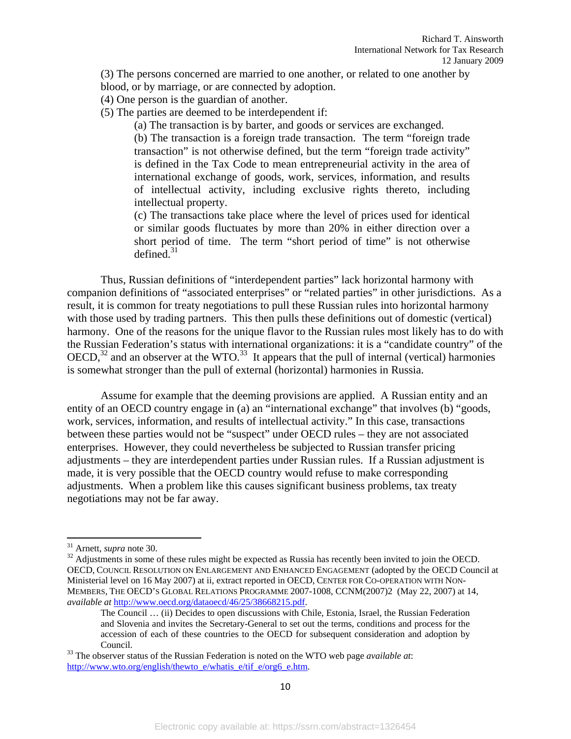(3) The persons concerned are married to one another, or related to one another by blood, or by marriage, or are connected by adoption.

(4) One person is the guardian of another.

(5) The parties are deemed to be interdependent if:

(a) The transaction is by barter, and goods or services are exchanged.

(b) The transaction is a foreign trade transaction. The term "foreign trade transaction" is not otherwise defined, but the term "foreign trade activity" is defined in the Tax Code to mean entrepreneurial activity in the area of international exchange of goods, work, services, information, and results of intellectual activity, including exclusive rights thereto, including intellectual property.

(c) The transactions take place where the level of prices used for identical or similar goods fluctuates by more than 20% in either direction over a short period of time. The term "short period of time" is not otherwise defined.31

Thus, Russian definitions of "interdependent parties" lack horizontal harmony with companion definitions of "associated enterprises" or "related parties" in other jurisdictions. As a result, it is common for treaty negotiations to pull these Russian rules into horizontal harmony with those used by trading partners. This then pulls these definitions out of domestic (vertical) harmony. One of the reasons for the unique flavor to the Russian rules most likely has to do with the Russian Federation's status with international organizations: it is a "candidate country" of the OECD,<sup>32</sup> and an observer at the WTO.<sup>33</sup> It appears that the pull of internal (vertical) harmonies is somewhat stronger than the pull of external (horizontal) harmonies in Russia.

Assume for example that the deeming provisions are applied. A Russian entity and an entity of an OECD country engage in (a) an "international exchange" that involves (b) "goods, work, services, information, and results of intellectual activity." In this case, transactions between these parties would not be "suspect" under OECD rules – they are not associated enterprises. However, they could nevertheless be subjected to Russian transfer pricing adjustments – they are interdependent parties under Russian rules. If a Russian adjustment is made, it is very possible that the OECD country would refuse to make corresponding adjustments. When a problem like this causes significant business problems, tax treaty negotiations may not be far away.

<sup>&</sup>lt;sup>31</sup> Arnett, *supra* note 30.<br><sup>32</sup> Adjustments in some of these rules might be expected as Russia has recently been invited to join the OECD. OECD, COUNCIL RESOLUTION ON ENLARGEMENT AND ENHANCED ENGAGEMENT (adopted by the OECD Council at Ministerial level on 16 May 2007) at ii, extract reported in OECD, CENTER FOR CO-OPERATION WITH NON-MEMBERS, THE OECD'S GLOBAL RELATIONS PROGRAMME 2007-1008, CCNM(2007)2 (May 22, 2007) at 14, *available at* http://www.oecd.org/dataoecd/46/25/38668215.pdf.

The Council … (ii) Decides to open discussions with Chile, Estonia, Israel, the Russian Federation and Slovenia and invites the Secretary-General to set out the terms, conditions and process for the accession of each of these countries to the OECD for subsequent consideration and adoption by

Council. 33 The observer status of the Russian Federation is noted on the WTO web page *available at*: http://www.wto.org/english/thewto\_e/whatis\_e/tif\_e/org6\_e.htm.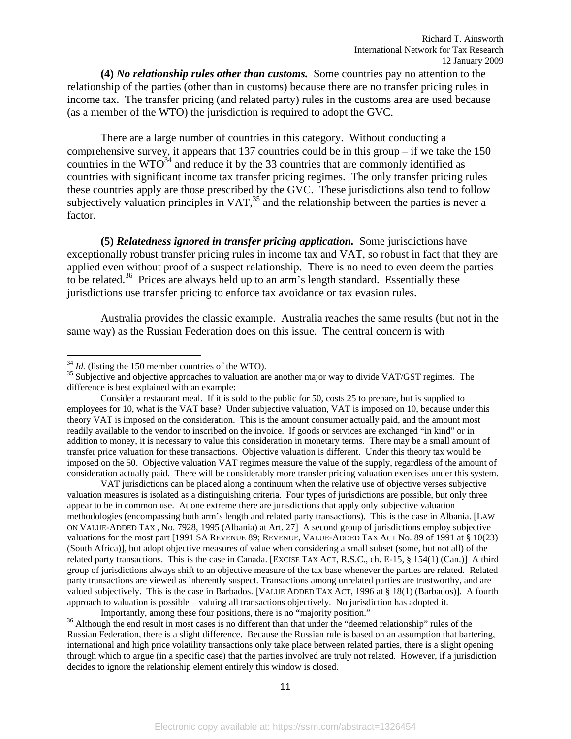**(4)** *No relationship rules other than customs.* Some countries pay no attention to the relationship of the parties (other than in customs) because there are no transfer pricing rules in income tax. The transfer pricing (and related party) rules in the customs area are used because (as a member of the WTO) the jurisdiction is required to adopt the GVC.

There are a large number of countries in this category. Without conducting a comprehensive survey, it appears that 137 countries could be in this group – if we take the 150 countries in the  $WTO<sup>34</sup>$  and reduce it by the 33 countries that are commonly identified as countries with significant income tax transfer pricing regimes. The only transfer pricing rules these countries apply are those prescribed by the GVC. These jurisdictions also tend to follow subjectively valuation principles in VAT,<sup>35</sup> and the relationship between the parties is never a factor.

**(5)** *Relatedness ignored in transfer pricing application.* Some jurisdictions have exceptionally robust transfer pricing rules in income tax and VAT, so robust in fact that they are applied even without proof of a suspect relationship. There is no need to even deem the parties to be related.<sup>36</sup> Prices are always held up to an arm's length standard. Essentially these jurisdictions use transfer pricing to enforce tax avoidance or tax evasion rules.

Australia provides the classic example. Australia reaches the same results (but not in the same way) as the Russian Federation does on this issue. The central concern is with

VAT jurisdictions can be placed along a continuum when the relative use of objective verses subjective valuation measures is isolated as a distinguishing criteria. Four types of jurisdictions are possible, but only three appear to be in common use. At one extreme there are jurisdictions that apply only subjective valuation methodologies (encompassing both arm's length and related party transactions). This is the case in Albania. [LAW ON VALUE-ADDED TAX , No. 7928, 1995 (Albania) at Art. 27] A second group of jurisdictions employ subjective valuations for the most part [1991 SA REVENUE 89; REVENUE, VALUE-ADDED TAX ACT No. 89 of 1991 at § 10(23) (South Africa)], but adopt objective measures of value when considering a small subset (some, but not all) of the related party transactions. This is the case in Canada. [EXCISE TAX ACT, R.S.C., ch. E-15, § 154(1) (Can.)] A third group of jurisdictions always shift to an objective measure of the tax base whenever the parties are related. Related party transactions are viewed as inherently suspect. Transactions among unrelated parties are trustworthy, and are valued subjectively. This is the case in Barbados. [VALUE ADDED TAX ACT, 1996 at § 18(1) (Barbados)]. A fourth approach to valuation is possible – valuing all transactions objectively. No jurisdiction has adopted it.

Importantly, among these four positions, there is no "majority position." 36 Although the end result in most cases is no different than that under the "deemed relationship" rules of the

Russian Federation, there is a slight difference. Because the Russian rule is based on an assumption that bartering, international and high price volatility transactions only take place between related parties, there is a slight opening through which to argue (in a specific case) that the parties involved are truly not related. However, if a jurisdiction decides to ignore the relationship element entirely this window is closed.

 $34$  *Id.* (listing the 150 member countries of the WTO).

<sup>&</sup>lt;sup>35</sup> Subjective and objective approaches to valuation are another major way to divide VAT/GST regimes. The difference is best explained with an example:

Consider a restaurant meal. If it is sold to the public for 50, costs 25 to prepare, but is supplied to employees for 10, what is the VAT base? Under subjective valuation, VAT is imposed on 10, because under this theory VAT is imposed on the consideration. This is the amount consumer actually paid, and the amount most readily available to the vendor to inscribed on the invoice. If goods or services are exchanged "in kind" or in addition to money, it is necessary to value this consideration in monetary terms. There may be a small amount of transfer price valuation for these transactions. Objective valuation is different. Under this theory tax would be imposed on the 50. Objective valuation VAT regimes measure the value of the supply, regardless of the amount of consideration actually paid. There will be considerably more transfer pricing valuation exercises under this system.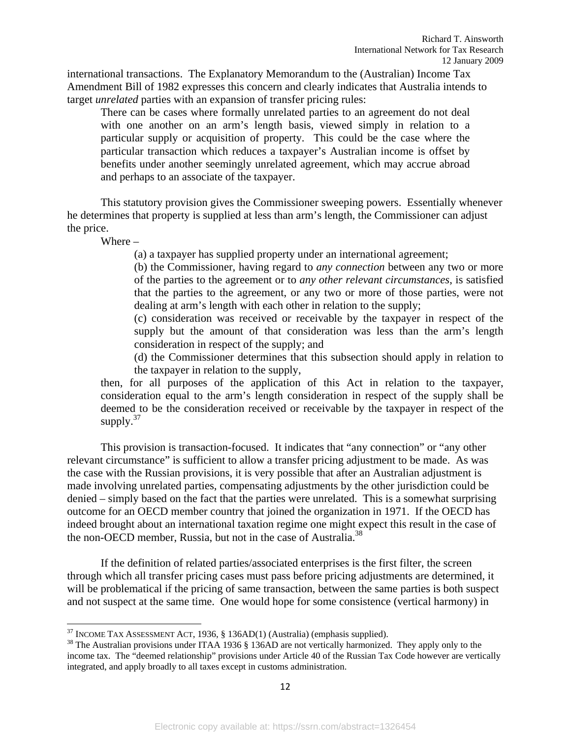international transactions. The Explanatory Memorandum to the (Australian) Income Tax Amendment Bill of 1982 expresses this concern and clearly indicates that Australia intends to target *unrelated* parties with an expansion of transfer pricing rules:

There can be cases where formally unrelated parties to an agreement do not deal with one another on an arm's length basis, viewed simply in relation to a particular supply or acquisition of property. This could be the case where the particular transaction which reduces a taxpayer's Australian income is offset by benefits under another seemingly unrelated agreement, which may accrue abroad and perhaps to an associate of the taxpayer.

This statutory provision gives the Commissioner sweeping powers. Essentially whenever he determines that property is supplied at less than arm's length, the Commissioner can adjust the price.

Where –

(a) a taxpayer has supplied property under an international agreement;

(b) the Commissioner, having regard to *any connection* between any two or more of the parties to the agreement or to *any other relevant circumstances*, is satisfied that the parties to the agreement, or any two or more of those parties, were not dealing at arm's length with each other in relation to the supply;

(c) consideration was received or receivable by the taxpayer in respect of the supply but the amount of that consideration was less than the arm's length consideration in respect of the supply; and

(d) the Commissioner determines that this subsection should apply in relation to the taxpayer in relation to the supply,

then, for all purposes of the application of this Act in relation to the taxpayer, consideration equal to the arm's length consideration in respect of the supply shall be deemed to be the consideration received or receivable by the taxpayer in respect of the supply. $37$ 

This provision is transaction-focused. It indicates that "any connection" or "any other relevant circumstance" is sufficient to allow a transfer pricing adjustment to be made. As was the case with the Russian provisions, it is very possible that after an Australian adjustment is made involving unrelated parties, compensating adjustments by the other jurisdiction could be denied – simply based on the fact that the parties were unrelated. This is a somewhat surprising outcome for an OECD member country that joined the organization in 1971. If the OECD has indeed brought about an international taxation regime one might expect this result in the case of the non-OECD member, Russia, but not in the case of Australia.<sup>38</sup>

 If the definition of related parties/associated enterprises is the first filter, the screen through which all transfer pricing cases must pass before pricing adjustments are determined, it will be problematical if the pricing of same transaction, between the same parties is both suspect and not suspect at the same time. One would hope for some consistence (vertical harmony) in

 $37$  INCOME TAX ASSESSMENT ACT, 1936, § 136AD(1) (Australia) (emphasis supplied).

 $38$  The Australian provisions under ITAA 1936 § 136AD are not vertically harmonized. They apply only to the income tax. The "deemed relationship" provisions under Article 40 of the Russian Tax Code however are vertically integrated, and apply broadly to all taxes except in customs administration.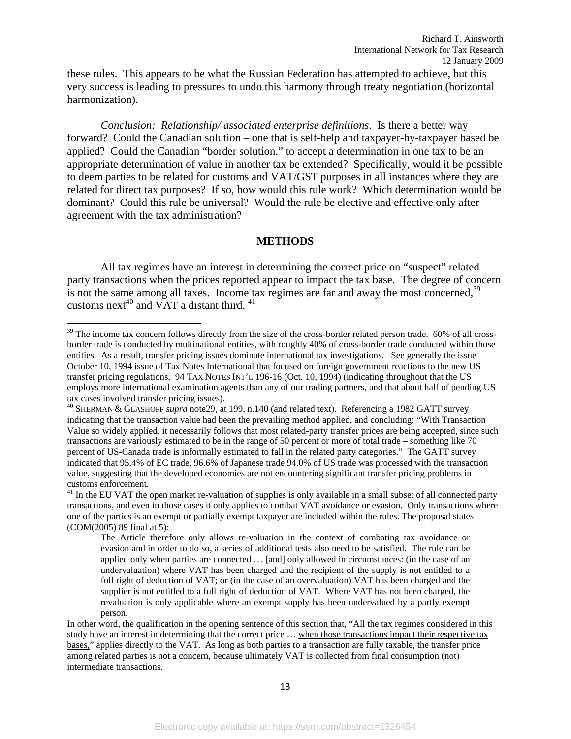these rules. This appears to be what the Russian Federation has attempted to achieve, but this very success is leading to pressures to undo this harmony through treaty negotiation (horizontal harmonization).

*Conclusion: Relationship/ associated enterprise definitions*. Is there a better way forward? Could the Canadian solution – one that is self-help and taxpayer-by-taxpayer based be applied? Could the Canadian "border solution," to accept a determination in one tax to be an appropriate determination of value in another tax be extended? Specifically, would it be possible to deem parties to be related for customs and VAT/GST purposes in all instances where they are related for direct tax purposes? If so, how would this rule work? Which determination would be dominant? Could this rule be universal? Would the rule be elective and effective only after agreement with the tax administration?

#### **METHODS**

All tax regimes have an interest in determining the correct price on "suspect" related party transactions when the prices reported appear to impact the tax base. The degree of concern is not the same among all taxes. Income tax regimes are far and away the most concerned,  $39$ customs next<sup>40</sup> and VAT a distant third.  $41$ 

 $39$  The income tax concern follows directly from the size of the cross-border related person trade.  $60\%$  of all crossborder trade is conducted by multinational entities, with roughly 40% of cross-border trade conducted within those entities. As a result, transfer pricing issues dominate international tax investigations. See generally the issue October 10, 1994 issue of Tax Notes International that focused on foreign government reactions to the new US transfer pricing regulations. 94 TAX NOTES INT'L 196-16 (Oct. 10, 1994) (indicating throughout that the US employs more international examination agents than any of our trading partners, and that about half of pending US tax cases involved transfer pricing issues).

<sup>40</sup> SHERMAN & GLASHOFF *supra* note29, at 199, n.140 (and related text). Referencing a 1982 GATT survey indicating that the transaction value had been the prevailing method applied, and concluding: "With Transaction Value so widely applied, it necessarily follows that most related-party transfer prices are being accepted, since such transactions are variously estimated to be in the range of 50 percent or more of total trade – something like 70 percent of US-Canada trade is informally estimated to fall in the related party categories." The GATT survey indicated that 95.4% of EC trade, 96.6% of Japanese trade 94.0% of US trade was processed with the transaction value, suggesting that the developed economies are not encountering significant transfer pricing problems in customs enforcement.

 $41$  In the EU VAT the open market re-valuation of supplies is only available in a small subset of all connected party transactions, and even in those cases it only applies to combat VAT avoidance or evasion. Only transactions where one of the parties is an exempt or partially exempt taxpayer are included within the rules. The proposal states (COM(2005) 89 final at 5):

The Article therefore only allows re-valuation in the context of combating tax avoidance or evasion and in order to do so, a series of additional tests also need to be satisfied. The rule can be applied only when parties are connected … [and] only allowed in circumstances: (in the case of an undervaluation) where VAT has been charged and the recipient of the supply is not entitled to a full right of deduction of VAT; or (in the case of an overvaluation) VAT has been charged and the supplier is not entitled to a full right of deduction of VAT. Where VAT has not been charged, the revaluation is only applicable where an exempt supply has been undervalued by a partly exempt person.

In other word, the qualification in the opening sentence of this section that, "All the tax regimes considered in this study have an interest in determining that the correct price ... when those transactions impact their respective tax bases," applies directly to the VAT. As long as both parties to a transaction are fully taxable, the transfer price among related parties is not a concern, because ultimately VAT is collected from final consumption (not) intermediate transactions.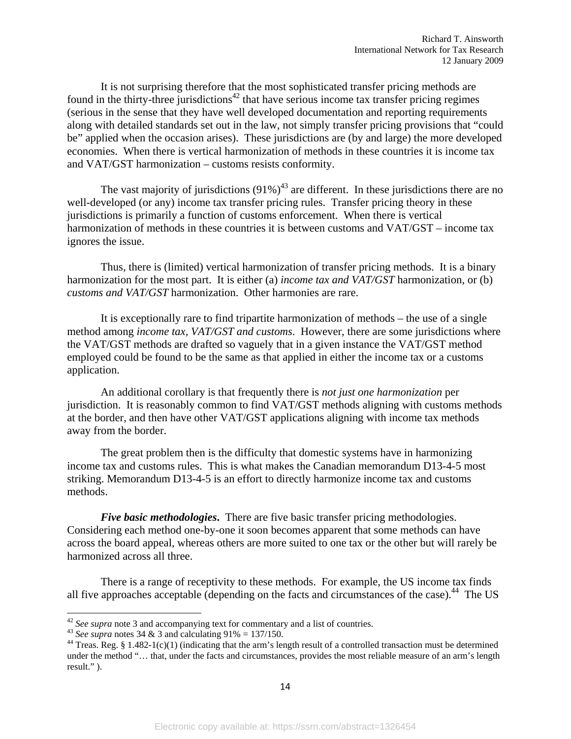It is not surprising therefore that the most sophisticated transfer pricing methods are found in the thirty-three jurisdictions<sup> $42$ </sup> that have serious income tax transfer pricing regimes (serious in the sense that they have well developed documentation and reporting requirements along with detailed standards set out in the law, not simply transfer pricing provisions that "could be" applied when the occasion arises). These jurisdictions are (by and large) the more developed economies. When there is vertical harmonization of methods in these countries it is income tax and VAT/GST harmonization – customs resists conformity.

The vast majority of jurisdictions  $(91\%)^{43}$  are different. In these jurisdictions there are no well-developed (or any) income tax transfer pricing rules. Transfer pricing theory in these jurisdictions is primarily a function of customs enforcement. When there is vertical harmonization of methods in these countries it is between customs and VAT/GST – income tax ignores the issue.

Thus, there is (limited) vertical harmonization of transfer pricing methods. It is a binary harmonization for the most part. It is either (a) *income tax and VAT/GST* harmonization, or (b) *customs and VAT/GST* harmonization. Other harmonies are rare.

It is exceptionally rare to find tripartite harmonization of methods – the use of a single method among *income tax, VAT/GST and customs*. However, there are some jurisdictions where the VAT/GST methods are drafted so vaguely that in a given instance the VAT/GST method employed could be found to be the same as that applied in either the income tax or a customs application.

An additional corollary is that frequently there is *not just one harmonization* per jurisdiction. It is reasonably common to find VAT/GST methods aligning with customs methods at the border, and then have other VAT/GST applications aligning with income tax methods away from the border.

The great problem then is the difficulty that domestic systems have in harmonizing income tax and customs rules. This is what makes the Canadian memorandum D13-4-5 most striking. Memorandum D13-4-5 is an effort to directly harmonize income tax and customs methods.

*Five basic methodologies***.** There are five basic transfer pricing methodologies. Considering each method one-by-one it soon becomes apparent that some methods can have across the board appeal, whereas others are more suited to one tax or the other but will rarely be harmonized across all three.

There is a range of receptivity to these methods. For example, the US income tax finds all five approaches acceptable (depending on the facts and circumstances of the case).<sup>44</sup> The US

<sup>&</sup>lt;sup>42</sup> See supra note 3 and accompanying text for commentary and a list of countries.<br><sup>43</sup> See supra notes 34 & 3 and calculating 91% = 137/150.<br><sup>44</sup> Treas. Reg. § 1.482-1(c)(1) (indicating that the arm's length result of a under the method "... that, under the facts and circumstances, provides the most reliable measure of an arm's length result." ).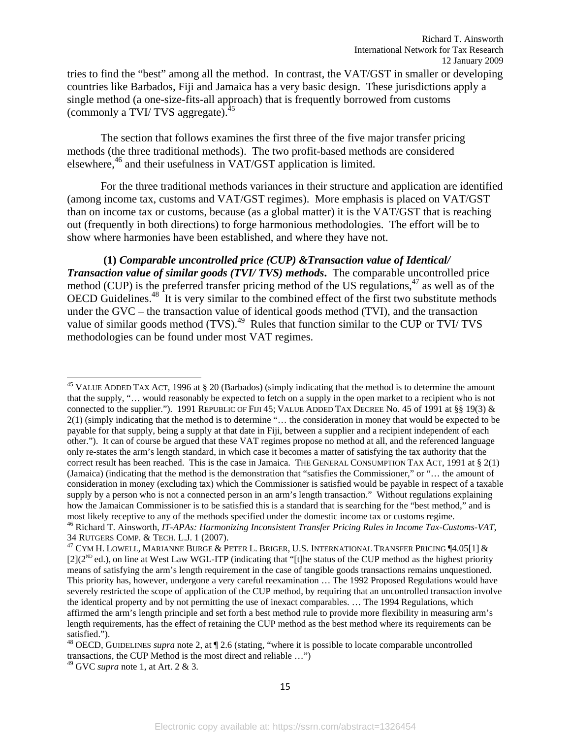tries to find the "best" among all the method. In contrast, the VAT/GST in smaller or developing countries like Barbados, Fiji and Jamaica has a very basic design. These jurisdictions apply a single method (a one-size-fits-all approach) that is frequently borrowed from customs (commonly a TVI/ TVS aggregate).<sup>4</sup>

The section that follows examines the first three of the five major transfer pricing methods (the three traditional methods). The two profit-based methods are considered elsewhere, $46$  and their usefulness in VAT/GST application is limited.

For the three traditional methods variances in their structure and application are identified (among income tax, customs and VAT/GST regimes). More emphasis is placed on VAT/GST than on income tax or customs, because (as a global matter) it is the VAT/GST that is reaching out (frequently in both directions) to forge harmonious methodologies. The effort will be to show where harmonies have been established, and where they have not.

 **(1)** *Comparable uncontrolled price (CUP) &Transaction value of Identical/ Transaction value of similar goods (TVI/ TVS) methods***.** The comparable uncontrolled price method (CUP) is the preferred transfer pricing method of the US regulations,  $47$  as well as of the OECD Guidelines.<sup>48</sup> It is very similar to the combined effect of the first two substitute methods under the GVC – the transaction value of identical goods method (TVI), and the transaction value of similar goods method (TVS).<sup>49</sup> Rules that function similar to the CUP or TVI/ TVS methodologies can be found under most VAT regimes.

 <sup>45</sup> VALUE ADDED TAX ACT, 1996 at  $\S 20$  (Barbados) (simply indicating that the method is to determine the amount that the supply, "… would reasonably be expected to fetch on a supply in the open market to a recipient who is not connected to the supplier."). 1991 REPUBLIC OF FIJI 45; VALUE ADDED TAX DECREE No. 45 of 1991 at §§ 19(3) & 2(1) (simply indicating that the method is to determine "… the consideration in money that would be expected to be payable for that supply, being a supply at that date in Fiji, between a supplier and a recipient independent of each other."). It can of course be argued that these VAT regimes propose no method at all, and the referenced language only re-states the arm's length standard, in which case it becomes a matter of satisfying the tax authority that the correct result has been reached. This is the case in Jamaica. THE GENERAL CONSUMPTION TAX ACT, 1991 at § 2(1) (Jamaica) (indicating that the method is the demonstration that "satisfies the Commissioner," or "… the amount of consideration in money (excluding tax) which the Commissioner is satisfied would be payable in respect of a taxable supply by a person who is not a connected person in an arm's length transaction." Without regulations explaining how the Jamaican Commissioner is to be satisfied this is a standard that is searching for the "best method," and is most likely receptive to any of the methods specified under the domestic income tax or customs regime. 46 Richard T. Ainsworth, *IT-APAs: Harmonizing Inconsistent Transfer Pricing Rules in Income Tax-Customs-VAT*,

<sup>34</sup> RUTGERS COMP. & TECH. L.J. 1 (2007).<br><sup>47</sup> CYM H. LOWELL, MARIANNE BURGE & PETER L. BRIGER, U.S. INTERNATIONAL TRANSFER PRICING ¶4.05[1] &

 $[2](2^{ND}$  ed.), on line at West Law WGL-ITP (indicating that "[t]he status of the CUP method as the highest priority means of satisfying the arm's length requirement in the case of tangible goods transactions remains unquestioned. This priority has, however, undergone a very careful reexamination … The 1992 Proposed Regulations would have severely restricted the scope of application of the CUP method, by requiring that an uncontrolled transaction involve the identical property and by not permitting the use of inexact comparables. … The 1994 Regulations, which affirmed the arm's length principle and set forth a best method rule to provide more flexibility in measuring arm's length requirements, has the effect of retaining the CUP method as the best method where its requirements can be satisfied.").

<sup>48</sup> OECD, GUIDELINES *supra* note 2, at ¶ 2.6 (stating, "where it is possible to locate comparable uncontrolled transactions, the CUP Method is the most direct and reliable …")

<sup>49</sup> GVC *supra* note 1, at Art. 2 & 3.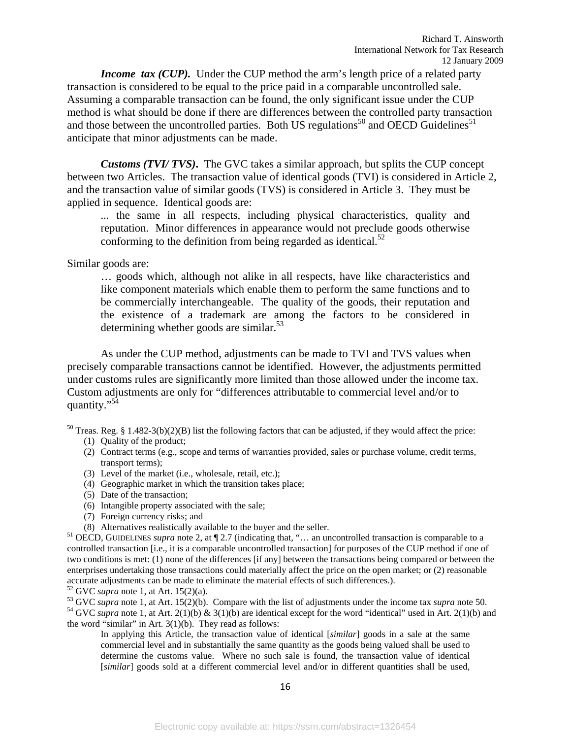*Income tax (CUP).* Under the CUP method the arm's length price of a related party transaction is considered to be equal to the price paid in a comparable uncontrolled sale. Assuming a comparable transaction can be found, the only significant issue under the CUP method is what should be done if there are differences between the controlled party transaction and those between the uncontrolled parties. Both US regulations<sup>50</sup> and OECD Guidelines<sup>51</sup> anticipate that minor adjustments can be made.

*Customs (TVI/ TVS)***.** The GVC takes a similar approach, but splits the CUP concept between two Articles. The transaction value of identical goods (TVI) is considered in Article 2, and the transaction value of similar goods (TVS) is considered in Article 3. They must be applied in sequence. Identical goods are:

... the same in all respects, including physical characteristics, quality and reputation. Minor differences in appearance would not preclude goods otherwise conforming to the definition from being regarded as identical.<sup>52</sup>

Similar goods are:

… goods which, although not alike in all respects, have like characteristics and like component materials which enable them to perform the same functions and to be commercially interchangeable. The quality of the goods, their reputation and the existence of a trademark are among the factors to be considered in determining whether goods are similar. $53$ 

As under the CUP method, adjustments can be made to TVI and TVS values when precisely comparable transactions cannot be identified. However, the adjustments permitted under customs rules are significantly more limited than those allowed under the income tax. Custom adjustments are only for "differences attributable to commercial level and/or to quantity."54

(5) Date of the transaction;

(6) Intangible property associated with the sale;

- (7) Foreign currency risks; and
- 

<sup>52</sup> GVC *supra* note 1, at Art. 15(2)(a).<br><sup>53</sup> GVC *supra* note 1, at Art. 15(2)(b). Compare with the list of adjustments under the income tax *supra* note 50.<br><sup>54</sup> GVC *supra* note 1, at Art. 2(1)(b) & 3(1)(b) are ident the word "similar" in Art.  $3(1)(b)$ . They read as follows:

In applying this Article, the transaction value of identical [*similar*] goods in a sale at the same commercial level and in substantially the same quantity as the goods being valued shall be used to determine the customs value. Where no such sale is found, the transaction value of identical [*similar*] goods sold at a different commercial level and/or in different quantities shall be used,

 $50$  Treas. Reg. § 1.482-3(b)(2)(B) list the following factors that can be adjusted, if they would affect the price: (1) Quality of the product;

<sup>(2)</sup> Contract terms (e.g., scope and terms of warranties provided, sales or purchase volume, credit terms, transport terms);

<sup>(3)</sup> Level of the market (i.e., wholesale, retail, etc.);

<sup>(4)</sup> Geographic market in which the transition takes place;

<sup>(8)</sup> Alternatives realistically available to the buyer and the seller. 51 OECD, GUIDELINES *supra* note 2, at ¶ 2.7 (indicating that, "… an uncontrolled transaction is comparable to a controlled transaction [i.e., it is a comparable uncontrolled transaction] for purposes of the CUP method if one of two conditions is met: (1) none of the differences [if any] between the transactions being compared or between the enterprises undertaking those transactions could materially affect the price on the open market; or (2) reasonable accurate adjustments can be made to eliminate the material effects of such differences.).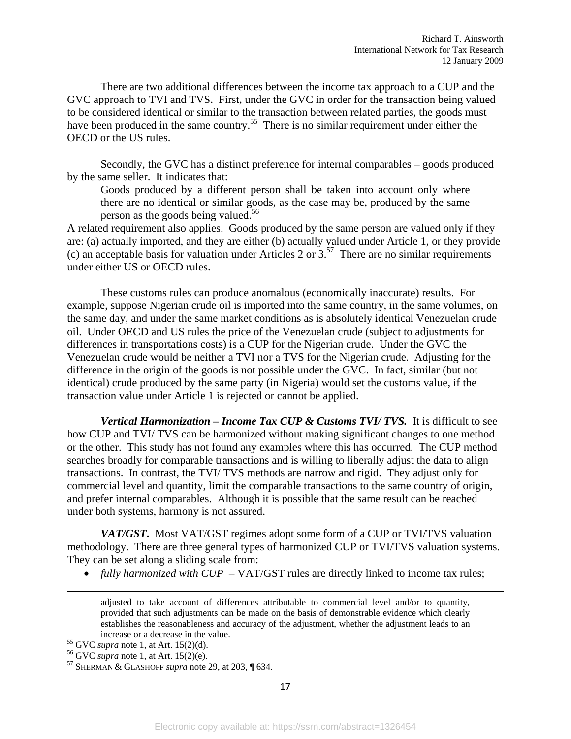There are two additional differences between the income tax approach to a CUP and the GVC approach to TVI and TVS. First, under the GVC in order for the transaction being valued to be considered identical or similar to the transaction between related parties, the goods must have been produced in the same country.<sup>55</sup> There is no similar requirement under either the OECD or the US rules.

Secondly, the GVC has a distinct preference for internal comparables – goods produced by the same seller. It indicates that:

Goods produced by a different person shall be taken into account only where there are no identical or similar goods, as the case may be, produced by the same person as the goods being valued.<sup>56</sup>

A related requirement also applies. Goods produced by the same person are valued only if they are: (a) actually imported, and they are either (b) actually valued under Article 1, or they provide (c) an acceptable basis for valuation under Articles 2 or  $3.57$  There are no similar requirements under either US or OECD rules.

These customs rules can produce anomalous (economically inaccurate) results. For example, suppose Nigerian crude oil is imported into the same country, in the same volumes, on the same day, and under the same market conditions as is absolutely identical Venezuelan crude oil. Under OECD and US rules the price of the Venezuelan crude (subject to adjustments for differences in transportations costs) is a CUP for the Nigerian crude. Under the GVC the Venezuelan crude would be neither a TVI nor a TVS for the Nigerian crude. Adjusting for the difference in the origin of the goods is not possible under the GVC. In fact, similar (but not identical) crude produced by the same party (in Nigeria) would set the customs value, if the transaction value under Article 1 is rejected or cannot be applied.

*Vertical Harmonization – Income Tax CUP & Customs TVI/ TVS.* It is difficult to see how CUP and TVI/ TVS can be harmonized without making significant changes to one method or the other. This study has not found any examples where this has occurred. The CUP method searches broadly for comparable transactions and is willing to liberally adjust the data to align transactions. In contrast, the TVI/ TVS methods are narrow and rigid. They adjust only for commercial level and quantity, limit the comparable transactions to the same country of origin, and prefer internal comparables. Although it is possible that the same result can be reached under both systems, harmony is not assured.

*VAT/GST***.** Most VAT/GST regimes adopt some form of a CUP or TVI/TVS valuation methodology. There are three general types of harmonized CUP or TVI/TVS valuation systems. They can be set along a sliding scale from:

• *fully harmonized with CUP* – VAT/GST rules are directly linked to income tax rules; <u> 1989 - Johann Stein, marwolaethau a gweledydd a ganlad y ganlad y ganlad y ganlad y ganlad y ganlad y ganlad</u>

adjusted to take account of differences attributable to commercial level and/or to quantity, provided that such adjustments can be made on the basis of demonstrable evidence which clearly establishes the reasonableness and accuracy of the adjustment, whether the adjustment leads to an

increase or a decrease in the value. 55 GVC *supra* note 1, at Art. 15(2)(d). 56 GVC *supra* note 1, at Art. 15(2)(e). 57 SHERMAN & GLASHOFF *supra* note 29, at 203, ¶ 634.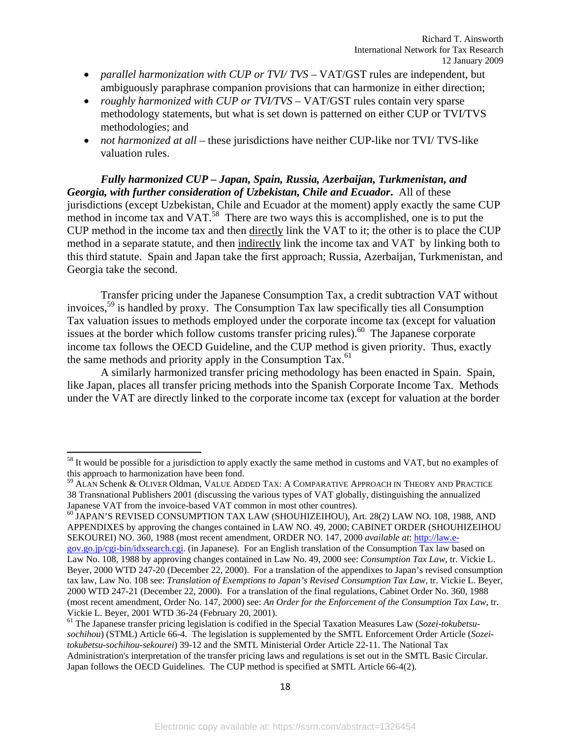- *parallel harmonization with CUP or TVI/ TVS* VAT/GST rules are independent, but ambiguously paraphrase companion provisions that can harmonize in either direction;
- *roughly harmonized with CUP or TVI/TVS* VAT/GST rules contain very sparse methodology statements, but what is set down is patterned on either CUP or TVI/TVS methodologies; and
- *not harmonized at all* these jurisdictions have neither CUP-like nor TVI/ TVS-like valuation rules.

*Fully harmonized CUP – Japan, Spain, Russia, Azerbaijan, Turkmenistan, and Georgia, with further consideration of Uzbekistan, Chile and Ecuador***.** All of these jurisdictions (except Uzbekistan, Chile and Ecuador at the moment) apply exactly the same CUP method in income tax and VAT.<sup>58</sup> There are two ways this is accomplished, one is to put the CUP method in the income tax and then directly link the VAT to it; the other is to place the CUP method in a separate statute, and then indirectly link the income tax and VAT by linking both to this third statute. Spain and Japan take the first approach; Russia, Azerbaijan, Turkmenistan, and Georgia take the second.

Transfer pricing under the Japanese Consumption Tax, a credit subtraction VAT without invoices,59 is handled by proxy. The Consumption Tax law specifically ties all Consumption Tax valuation issues to methods employed under the corporate income tax (except for valuation issues at the border which follow customs transfer pricing rules).<sup>60</sup> The Japanese corporate income tax follows the OECD Guideline, and the CUP method is given priority. Thus, exactly the same methods and priority apply in the Consumption  $\text{Tax.}^{61}$ 

A similarly harmonized transfer pricing methodology has been enacted in Spain. Spain, like Japan, places all transfer pricing methods into the Spanish Corporate Income Tax. Methods under the VAT are directly linked to the corporate income tax (except for valuation at the border

<sup>60</sup> JAPAN'S REVISED CONSUMPTION TAX LAW (SHOUHIZEIHOU), Art. 28(2) LAW NO. 108, 1988, AND APPENDIXES by approving the changes contained in LAW NO. 49, 2000; CABINET ORDER (SHOUHIZEIHOU SEKOUREI) NO. 360, 1988 (most recent amendment, ORDER NO. 147, 2000 *available at*: http://law.egov.go.jp/cgi-bin/idxsearch.cgi. (in Japanese). For an English translation of the Consumption Tax law based on Law No. 108, 1988 by approving changes contained in Law No. 49, 2000 see: *Consumption Tax Law*, tr. Vickie L. Beyer, 2000 WTD 247-20 (December 22, 2000). For a translation of the appendixes to Japan's revised consumption tax law, Law No. 108 see: *Translation of Exemptions to Japan's Revised Consumption Tax Law*, tr. Vickie L. Beyer, 2000 WTD 247-21 (December 22, 2000). For a translation of the final regulations, Cabinet Order No. 360, 1988 (most recent amendment, Order No. 147, 2000) see: *An Order for the Enforcement of the Consumption Tax Law*, tr. Vickie L. Beyer, 2001 WTD 36-24 (February 20, 2001).

<sup>&</sup>lt;sup>58</sup> It would be possible for a jurisdiction to apply exactly the same method in customs and VAT, but no examples of this approach to harmonization have been fond.

<sup>59</sup> ALAN Schenk & OLIVER Oldman, VALUE ADDED TAX: A COMPARATIVE APPROACH IN THEORY AND PRACTICE 38 Transnational Publishers 2001 (discussing the various types of VAT globally, distinguishing the annualized Japanese VAT from the invoice-based VAT common in most other countres).

<sup>61</sup> The Japanese transfer pricing legislation is codified in the Special Taxation Measures Law (*Sozei-tokubetsusochihou*) (STML) Article 66-4. The legislation is supplemented by the SMTL Enforcement Order Article (*Sozeitokubetsu-sochihou-sekourei*) 39-12 and the SMTL Ministerial Order Article 22-11. The National Tax Administration's interpretation of the transfer pricing laws and regulations is set out in the SMTL Basic Circular. Japan follows the OECD Guidelines. The CUP method is specified at SMTL Article 66-4(2).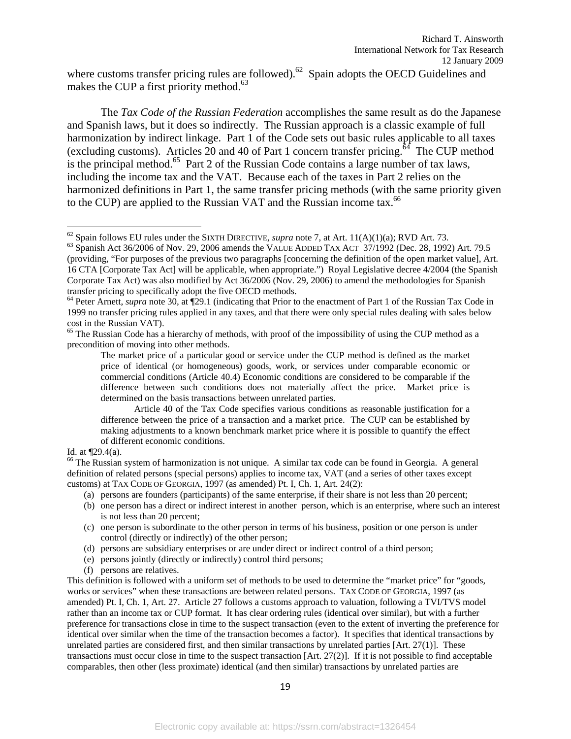where customs transfer pricing rules are followed).<sup>62</sup> Spain adopts the OECD Guidelines and makes the CUP a first priority method.<sup>63</sup>

The *Tax Code of the Russian Federation* accomplishes the same result as do the Japanese and Spanish laws, but it does so indirectly. The Russian approach is a classic example of full harmonization by indirect linkage. Part 1 of the Code sets out basic rules applicable to all taxes (excluding customs). Articles  $20$  and 40 of Part 1 concern transfer pricing.<sup> $64$ </sup> The CUP method is the principal method.<sup>65</sup> Part 2 of the Russian Code contains a large number of tax laws, including the income tax and the VAT. Because each of the taxes in Part 2 relies on the harmonized definitions in Part 1, the same transfer pricing methods (with the same priority given to the CUP) are applied to the Russian VAT and the Russian income tax.<sup>66</sup>

Id. at ¶29.4(a).

- (a) persons are founders (participants) of the same enterprise, if their share is not less than 20 percent;
- (b) one person has a direct or indirect interest in another person, which is an enterprise, where such an interest is not less than 20 percent;
- (c) one person is subordinate to the other person in terms of his business, position or one person is under control (directly or indirectly) of the other person;
- (d) persons are subsidiary enterprises or are under direct or indirect control of a third person;
- (e) persons jointly (directly or indirectly) control third persons;
- (f) persons are relatives.

This definition is followed with a uniform set of methods to be used to determine the "market price" for "goods, works or services" when these transactions are between related persons. TAX CODE OF GEORGIA, 1997 (as amended) Pt. I, Ch. 1, Art. 27. Article 27 follows a customs approach to valuation, following a TVI/TVS model rather than an income tax or CUP format. It has clear ordering rules (identical over similar), but with a further preference for transactions close in time to the suspect transaction (even to the extent of inverting the preference for identical over similar when the time of the transaction becomes a factor). It specifies that identical transactions by unrelated parties are considered first, and then similar transactions by unrelated parties [Art. 27(1)]. These transactions must occur close in time to the suspect transaction [Art. 27(2)]. If it is not possible to find acceptable comparables, then other (less proximate) identical (and then similar) transactions by unrelated parties are

 $^{62}$  Spain follows EU rules under the SIXTH DIRECTIVE, supra note 7, at Art. 11(A)(1)(a); RVD Art. 73.

<sup>&</sup>lt;sup>63</sup> Spanish Act 36/2006 of Nov. 29, 2006 amends the VALUE ADDED TAX ACT 37/1992 (Dec. 28, 1992) Art. 79.5 (providing, "For purposes of the previous two paragraphs [concerning the definition of the open market value], Art. 16 CTA [Corporate Tax Act] will be applicable, when appropriate.") Royal Legislative decree 4/2004 (the Spanish Corporate Tax Act) was also modified by Act 36/2006 (Nov. 29, 2006) to amend the methodologies for Spanish

<sup>&</sup>lt;sup>64</sup> Peter Arnett, *supra* note 30, at  $\P$ 29.1 (indicating that Prior to the enactment of Part 1 of the Russian Tax Code in 1999 no transfer pricing rules applied in any taxes, and that there were only special rules dealing with sales below cost in the Russian VAT).

<sup>&</sup>lt;sup>65</sup> The Russian Code has a hierarchy of methods, with proof of the impossibility of using the CUP method as a precondition of moving into other methods.

The market price of a particular good or service under the CUP method is defined as the market price of identical (or homogeneous) goods, work, or services under comparable economic or commercial conditions (Article 40.4) Economic conditions are considered to be comparable if the difference between such conditions does not materially affect the price. Market price is determined on the basis transactions between unrelated parties.

Article 40 of the Tax Code specifies various conditions as reasonable justification for a difference between the price of a transaction and a market price. The CUP can be established by making adjustments to a known benchmark market price where it is possible to quantify the effect of different economic conditions.

<sup>&</sup>lt;sup>66</sup> The Russian system of harmonization is not unique. A similar tax code can be found in Georgia. A general definition of related persons (special persons) applies to income tax, VAT (and a series of other taxes except customs) at TAX CODE OF GEORGIA, 1997 (as amended) Pt. I, Ch. 1, Art. 24(2):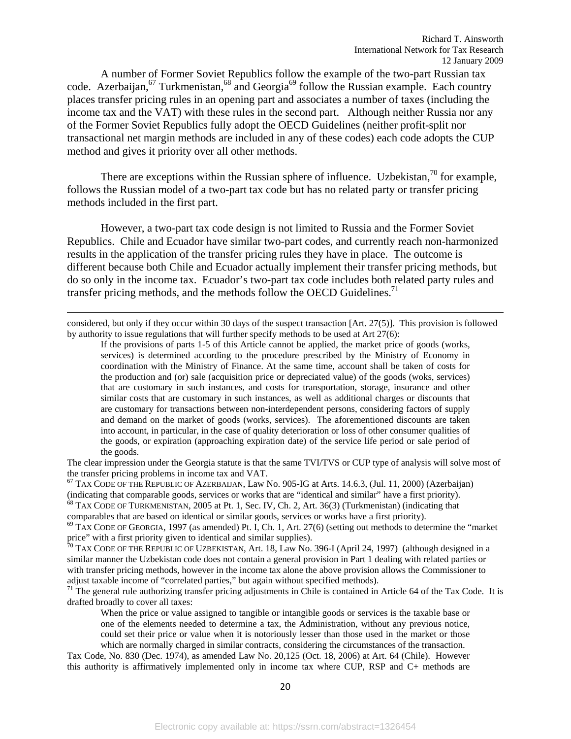A number of Former Soviet Republics follow the example of the two-part Russian tax code. Azerbaijan,<sup>67</sup> Turkmenistan,<sup>68</sup> and Georgia<sup>69</sup> follow the Russian example. Each country places transfer pricing rules in an opening part and associates a number of taxes (including the income tax and the VAT) with these rules in the second part. Although neither Russia nor any of the Former Soviet Republics fully adopt the OECD Guidelines (neither profit-split nor transactional net margin methods are included in any of these codes) each code adopts the CUP method and gives it priority over all other methods.

There are exceptions within the Russian sphere of influence. Uzbekistan, $\frac{70}{10}$  for example, follows the Russian model of a two-part tax code but has no related party or transfer pricing methods included in the first part.

However, a two-part tax code design is not limited to Russia and the Former Soviet Republics. Chile and Ecuador have similar two-part codes, and currently reach non-harmonized results in the application of the transfer pricing rules they have in place. The outcome is different because both Chile and Ecuador actually implement their transfer pricing methods, but do so only in the income tax. Ecuador's two-part tax code includes both related party rules and transfer pricing methods, and the methods follow the OECD Guidelines.<sup>71</sup>

<u> 1989 - Johann Stein, marwolaethau a gweledydd a ganlad y ganlad y ganlad y ganlad y ganlad y ganlad y ganlad</u> considered, but only if they occur within 30 days of the suspect transaction [Art. 27(5)]. This provision is followed by authority to issue regulations that will further specify methods to be used at Art 27(6):

If the provisions of parts 1-5 of this Article cannot be applied, the market price of goods (works, services) is determined according to the procedure prescribed by the Ministry of Economy in coordination with the Ministry of Finance. At the same time, account shall be taken of costs for the production and (or) sale (acquisition price or depreciated value) of the goods (woks, services) that are customary in such instances, and costs for transportation, storage, insurance and other similar costs that are customary in such instances, as well as additional charges or discounts that are customary for transactions between non-interdependent persons, considering factors of supply and demand on the market of goods (works, services). The aforementioned discounts are taken into account, in particular, in the case of quality deterioration or loss of other consumer qualities of the goods, or expiration (approaching expiration date) of the service life period or sale period of the goods.

The clear impression under the Georgia statute is that the same TVI/TVS or CUP type of analysis will solve most of the transfer pricing problems in income tax and VAT.<br><sup>67</sup> TAX CODE OF THE REPUBLIC OF AZERBAIJAN, Law No. 905-IG at Arts. 14.6.3, (Jul. 11, 2000) (Azerbaijan)

(indicating that comparable goods, services or works that are "identical and similar" have a first priority). 68 TAX CODE OF TURKMENISTAN, 2005 at Pt. 1, Sec. IV, Ch. 2, Art. 36(3) (Turkmenistan) (indicating that

comparables that are based on identical or similar goods, services or works have a first priority).<br><sup>69</sup> TAX CODE OF GEORGIA, 1997 (as amended) Pt. I, Ch. 1, Art. 27(6) (setting out methods to determine the "market" price" with a first priority given to identical and similar supplies).<br><sup>70</sup> TAX CODE OF THE REPUBLIC OF UZBEKISTAN, Art. 18, Law No. 396-I (April 24, 1997) (although designed in a

similar manner the Uzbekistan code does not contain a general provision in Part 1 dealing with related parties or with transfer pricing methods, however in the income tax alone the above provision allows the Commissioner to adjust taxable income of "correlated parties," but again without specified methods).

 $71$  The general rule authorizing transfer pricing adjustments in Chile is contained in Article 64 of the Tax Code. It is drafted broadly to cover all taxes:

When the price or value assigned to tangible or intangible goods or services is the taxable base or one of the elements needed to determine a tax, the Administration, without any previous notice, could set their price or value when it is notoriously lesser than those used in the market or those which are normally charged in similar contracts, considering the circumstances of the transaction.

Tax Code, No. 830 (Dec. 1974), as amended Law No. 20,125 (Oct. 18, 2006) at Art. 64 (Chile). However this authority is affirmatively implemented only in income tax where CUP, RSP and C+ methods are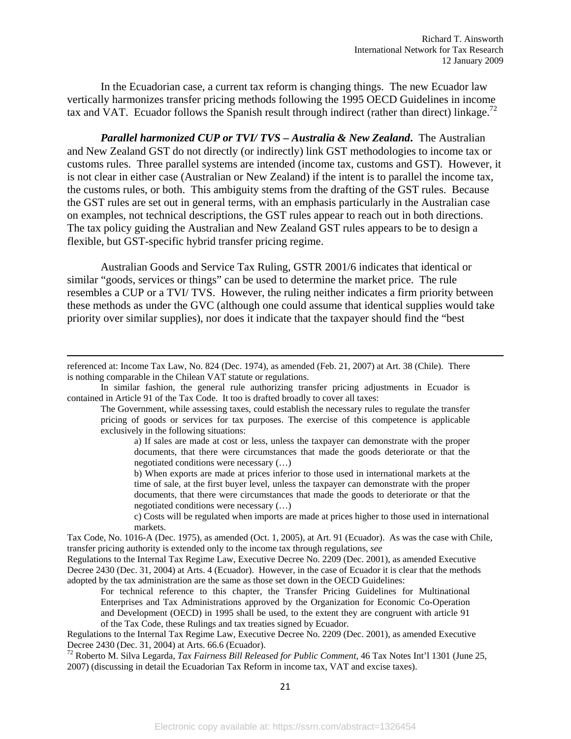In the Ecuadorian case, a current tax reform is changing things. The new Ecuador law vertically harmonizes transfer pricing methods following the 1995 OECD Guidelines in income tax and VAT. Ecuador follows the Spanish result through indirect (rather than direct) linkage.<sup>72</sup>

*Parallel harmonized CUP or TVI/ TVS* **–** *Australia & New Zealand***.** The Australian and New Zealand GST do not directly (or indirectly) link GST methodologies to income tax or customs rules. Three parallel systems are intended (income tax, customs and GST). However, it is not clear in either case (Australian or New Zealand) if the intent is to parallel the income tax, the customs rules, or both. This ambiguity stems from the drafting of the GST rules. Because the GST rules are set out in general terms, with an emphasis particularly in the Australian case on examples, not technical descriptions, the GST rules appear to reach out in both directions. The tax policy guiding the Australian and New Zealand GST rules appears to be to design a flexible, but GST-specific hybrid transfer pricing regime.

Australian Goods and Service Tax Ruling, GSTR 2001/6 indicates that identical or similar "goods, services or things" can be used to determine the market price. The rule resembles a CUP or a TVI/ TVS. However, the ruling neither indicates a firm priority between these methods as under the GVC (although one could assume that identical supplies would take priority over similar supplies), nor does it indicate that the taxpayer should find the "best

<u> 1989 - Johann Stoff, amerikansk politiker (d. 1989)</u>

b) When exports are made at prices inferior to those used in international markets at the time of sale, at the first buyer level, unless the taxpayer can demonstrate with the proper documents, that there were circumstances that made the goods to deteriorate or that the negotiated conditions were necessary (…)

c) Costs will be regulated when imports are made at prices higher to those used in international markets.

Tax Code, No. 1016-A (Dec. 1975), as amended (Oct. 1, 2005), at Art. 91 (Ecuador). As was the case with Chile, transfer pricing authority is extended only to the income tax through regulations, *see* 

Regulations to the Internal Tax Regime Law, Executive Decree No. 2209 (Dec. 2001), as amended Executive Decree 2430 (Dec. 31, 2004) at Arts. 4 (Ecuador). However, in the case of Ecuador it is clear that the methods adopted by the tax administration are the same as those set down in the OECD Guidelines:

For technical reference to this chapter, the Transfer Pricing Guidelines for Multinational Enterprises and Tax Administrations approved by the Organization for Economic Co-Operation and Development (OECD) in 1995 shall be used, to the extent they are congruent with article 91 of the Tax Code, these Rulings and tax treaties signed by Ecuador.

Regulations to the Internal Tax Regime Law, Executive Decree No. 2209 (Dec. 2001), as amended Executive Decree 2430 (Dec. 31, 2004) at Arts. 66.6 (Ecuador).

72 Roberto M. Silva Legarda, *Tax Fairness Bill Released for Public Comment*, 46 Tax Notes Int'l 1301 (June 25, 2007) (discussing in detail the Ecuadorian Tax Reform in income tax, VAT and excise taxes).

referenced at: Income Tax Law, No. 824 (Dec. 1974), as amended (Feb. 21, 2007) at Art. 38 (Chile). There is nothing comparable in the Chilean VAT statute or regulations.

In similar fashion, the general rule authorizing transfer pricing adjustments in Ecuador is contained in Article 91 of the Tax Code. It too is drafted broadly to cover all taxes:

The Government, while assessing taxes, could establish the necessary rules to regulate the transfer pricing of goods or services for tax purposes. The exercise of this competence is applicable exclusively in the following situations:

a) If sales are made at cost or less, unless the taxpayer can demonstrate with the proper documents, that there were circumstances that made the goods deteriorate or that the negotiated conditions were necessary (…)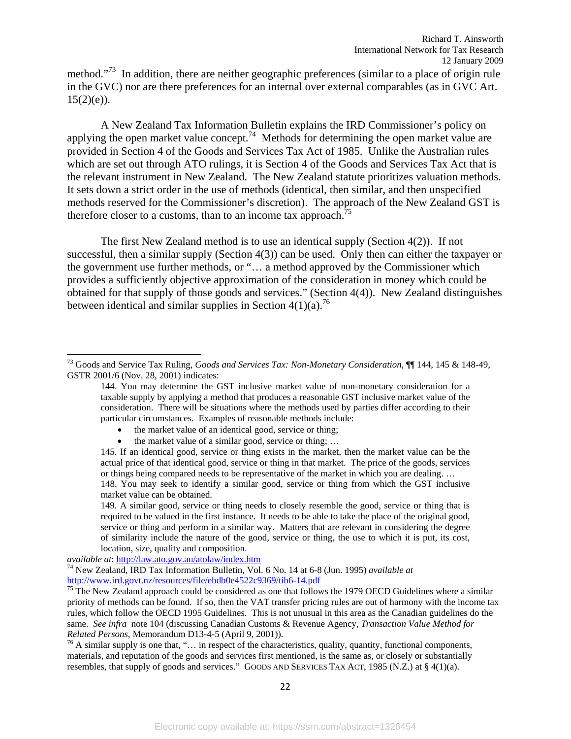method."<sup>73</sup> In addition, there are neither geographic preferences (similar to a place of origin rule in the GVC) nor are there preferences for an internal over external comparables (as in GVC Art.  $15(2)(e)$ ).

A New Zealand Tax Information Bulletin explains the IRD Commissioner's policy on applying the open market value concept.<sup>74</sup> Methods for determining the open market value are provided in Section 4 of the Goods and Services Tax Act of 1985. Unlike the Australian rules which are set out through ATO rulings, it is Section 4 of the Goods and Services Tax Act that is the relevant instrument in New Zealand. The New Zealand statute prioritizes valuation methods. It sets down a strict order in the use of methods (identical, then similar, and then unspecified methods reserved for the Commissioner's discretion). The approach of the New Zealand GST is therefore closer to a customs, than to an income tax approach.<sup>75</sup>

The first New Zealand method is to use an identical supply (Section 4(2)). If not successful, then a similar supply (Section 4(3)) can be used. Only then can either the taxpayer or the government use further methods, or "… a method approved by the Commissioner which provides a sufficiently objective approximation of the consideration in money which could be obtained for that supply of those goods and services." (Section 4(4)). New Zealand distinguishes between identical and similar supplies in Section  $4(1)(a)$ .<sup>76</sup>

- the market value of an identical good, service or thing;
- the market value of a similar good, service or thing;  $\dots$

149. A similar good, service or thing needs to closely resemble the good, service or thing that is required to be valued in the first instance. It needs to be able to take the place of the original good, service or thing and perform in a similar way. Matters that are relevant in considering the degree of similarity include the nature of the good, service or thing, the use to which it is put, its cost,

location, size, quality and composition.<br>available at: http://law.ato.gov.au/atolaw/index.htm

 $\frac{1}{75}$  The New Zealand approach could be considered as one that follows the 1979 OECD Guidelines where a similar priority of methods can be found. If so, then the VAT transfer pricing rules are out of harmony with the income tax rules, which follow the OECD 1995 Guidelines. This is not unusual in this area as the Canadian guidelines do the same. *See infra* note 104 (discussing Canadian Customs & Revenue Agency, *Transaction Value Method for* 

 $^{76}$  A similar supply is one that, "... in respect of the characteristics, quality, quantity, functional components, materials, and reputation of the goods and services first mentioned, is the same as, or closely or substantially resembles, that supply of goods and services." GOODS AND SERVICES TAX ACT, 1985 (N.Z.) at § 4(1)(a).

<sup>73</sup> Goods and Service Tax Ruling, *Goods and Services Tax: Non-Monetary Consideration*, ¶¶ 144, 145 & 148-49, GSTR 2001/6 (Nov. 28, 2001) indicates:

<sup>144.</sup> You may determine the GST inclusive market value of non-monetary consideration for a taxable supply by applying a method that produces a reasonable GST inclusive market value of the consideration. There will be situations where the methods used by parties differ according to their particular circumstances. Examples of reasonable methods include:

<sup>145.</sup> If an identical good, service or thing exists in the market, then the market value can be the actual price of that identical good, service or thing in that market. The price of the goods, services or things being compared needs to be representative of the market in which you are dealing. … 148. You may seek to identify a similar good, service or thing from which the GST inclusive market value can be obtained.

<sup>&</sup>lt;sup>74</sup> New Zealand, IRD Tax Information Bulletin, Vol. 6 No. 14 at 6-8 (Jun. 1995) *available at* http://www.ird.govt.nz/resources/file/ebdb0e4522c9369/tib6-14.pdf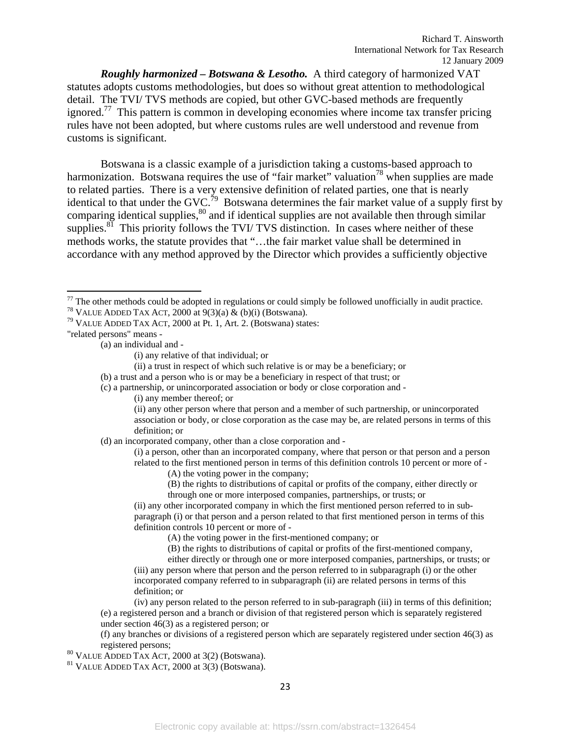*Roughly harmonized – Botswana & Lesotho.* A third category of harmonized VAT statutes adopts customs methodologies, but does so without great attention to methodological detail. The TVI/ TVS methods are copied, but other GVC-based methods are frequently ignored.<sup>77</sup> This pattern is common in developing economies where income tax transfer pricing rules have not been adopted, but where customs rules are well understood and revenue from customs is significant.

Botswana is a classic example of a jurisdiction taking a customs-based approach to harmonization. Botswana requires the use of "fair market" valuation<sup>78</sup> when supplies are made to related parties. There is a very extensive definition of related parties, one that is nearly identical to that under the GVC.<sup>79</sup> Botswana determines the fair market value of a supply first by comparing identical supplies, $80$  and if identical supplies are not available then through similar supplies. $81$  This priority follows the TVI/ TVS distinction. In cases where neither of these methods works, the statute provides that "…the fair market value shall be determined in accordance with any method approved by the Director which provides a sufficiently objective

(c) a partnership, or unincorporated association or body or close corporation and -

(ii) any other person where that person and a member of such partnership, or unincorporated association or body, or close corporation as the case may be, are related persons in terms of this definition; or

(d) an incorporated company, other than a close corporation and -

- (A) the voting power in the company;
- (B) the rights to distributions of capital or profits of the company, either directly or
- through one or more interposed companies, partnerships, or trusts; or (ii) any other incorporated company in which the first mentioned person referred to in subparagraph (i) or that person and a person related to that first mentioned person in terms of this definition controls 10 percent or more of -
	- (A) the voting power in the first-mentioned company; or
	- (B) the rights to distributions of capital or profits of the first-mentioned company,
- either directly or through one or more interposed companies, partnerships, or trusts; or (iii) any person where that person and the person referred to in subparagraph (i) or the other incorporated company referred to in subparagraph (ii) are related persons in terms of this definition; or
- (iv) any person related to the person referred to in sub-paragraph (iii) in terms of this definition; (e) a registered person and a branch or division of that registered person which is separately registered under section 46(3) as a registered person; or

(f) any branches or divisions of a registered person which are separately registered under section 46(3) as

registered persons;<br><sup>80</sup> VALUE ADDED TAX ACT, 2000 at 3(2) (Botswana).<br><sup>81</sup> VALUE ADDED TAX ACT, 2000 at 3(3) (Botswana).

 $77$  The other methods could be adopted in regulations or could simply be followed unofficially in audit practice.

<sup>&</sup>lt;sup>78</sup> VALUE ADDED TAX ACT, 2000 at  $9(3)(a)$  & (b)(i) (Botswana).<br><sup>79</sup> VALUE ADDED TAX ACT, 2000 at Pt. 1, Art. 2. (Botswana) states:

<sup>&</sup>quot;related persons" means -

<sup>(</sup>a) an individual and -

<sup>(</sup>i) any relative of that individual; or

<sup>(</sup>ii) a trust in respect of which such relative is or may be a beneficiary; or

<sup>(</sup>b) a trust and a person who is or may be a beneficiary in respect of that trust; or

<sup>(</sup>i) any member thereof; or

<sup>(</sup>i) a person, other than an incorporated company, where that person or that person and a person related to the first mentioned person in terms of this definition controls 10 percent or more of -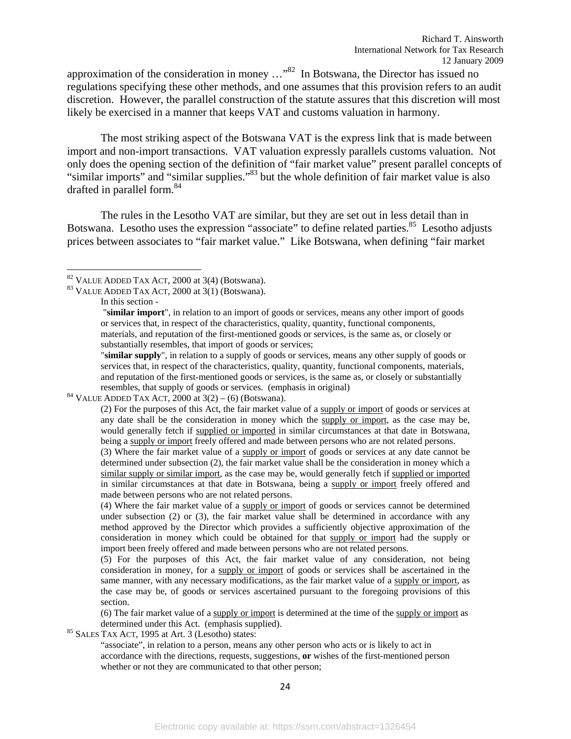approximation of the consideration in money ..."<sup>82</sup> In Botswana, the Director has issued no regulations specifying these other methods, and one assumes that this provision refers to an audit discretion. However, the parallel construction of the statute assures that this discretion will most likely be exercised in a manner that keeps VAT and customs valuation in harmony.

The most striking aspect of the Botswana VAT is the express link that is made between import and non-import transactions. VAT valuation expressly parallels customs valuation. Not only does the opening section of the definition of "fair market value" present parallel concepts of "similar imports" and "similar supplies."<sup>83</sup> but the whole definition of fair market value is also drafted in parallel form.<sup>84</sup>

The rules in the Lesotho VAT are similar, but they are set out in less detail than in Botswana. Lesotho uses the expression "associate" to define related parties.<sup>85</sup> Lesotho adjusts prices between associates to "fair market value." Like Botswana, when defining "fair market

In this section -

"**similar supply**", in relation to a supply of goods or services, means any other supply of goods or services that, in respect of the characteristics, quality, quantity, functional components, materials, and reputation of the first-mentioned goods or services, is the same as, or closely or substantially resembles, that supply of goods or services. (emphasis in original)  $84$  VALUE ADDED TAX ACT, 2000 at 3(2) – (6) (Botswana).

determined under this Act. (emphasis supplied).<br><sup>85</sup> SALES TAX ACT, 1995 at Art. 3 (Lesotho) states:

<sup>&</sup>lt;sup>82</sup> VALUE ADDED TAX ACT, 2000 at 3(4) (Botswana).<br><sup>83</sup> VALUE ADDED TAX ACT, 2000 at 3(1) (Botswana).

 <sup>&</sup>quot;**similar import**", in relation to an import of goods or services, means any other import of goods or services that, in respect of the characteristics, quality, quantity, functional components, materials, and reputation of the first-mentioned goods or services, is the same as, or closely or substantially resembles, that import of goods or services;

<sup>(2)</sup> For the purposes of this Act, the fair market value of a supply or import of goods or services at any date shall be the consideration in money which the supply or import, as the case may be, would generally fetch if supplied or imported in similar circumstances at that date in Botswana, being a supply or import freely offered and made between persons who are not related persons.

<sup>(3)</sup> Where the fair market value of a supply or import of goods or services at any date cannot be determined under subsection (2), the fair market value shall be the consideration in money which a similar supply or similar import, as the case may be, would generally fetch if supplied or imported in similar circumstances at that date in Botswana, being a supply or import freely offered and made between persons who are not related persons.

<sup>(4)</sup> Where the fair market value of a supply or import of goods or services cannot be determined under subsection (2) or (3), the fair market value shall be determined in accordance with any method approved by the Director which provides a sufficiently objective approximation of the consideration in money which could be obtained for that supply or import had the supply or import been freely offered and made between persons who are not related persons.

<sup>(5)</sup> For the purposes of this Act, the fair market value of any consideration, not being consideration in money, for a supply or import of goods or services shall be ascertained in the same manner, with any necessary modifications, as the fair market value of a supply or import, as the case may be, of goods or services ascertained pursuant to the foregoing provisions of this section.

<sup>(6)</sup> The fair market value of a supply or import is determined at the time of the supply or import as

<sup>&</sup>quot;associate", in relation to a person, means any other person who acts or is likely to act in accordance with the directions, requests, suggestions, **or** wishes of the first-mentioned person whether or not they are communicated to that other person;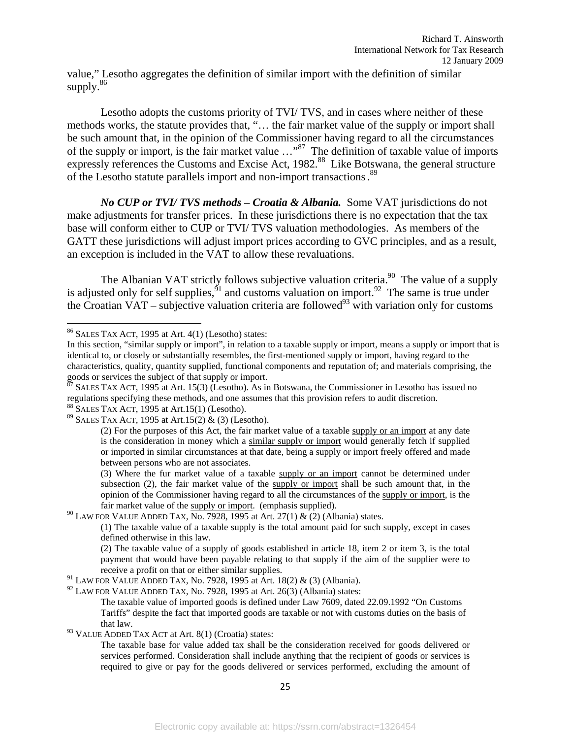value," Lesotho aggregates the definition of similar import with the definition of similar supply.<sup>86</sup>

Lesotho adopts the customs priority of TVI/ TVS, and in cases where neither of these methods works, the statute provides that, "… the fair market value of the supply or import shall be such amount that, in the opinion of the Commissioner having regard to all the circumstances of the supply or import, is the fair market value ..."<sup>87</sup> The definition of taxable value of imports expressly references the Customs and Excise Act, 1982.<sup>88</sup> Like Botswana, the general structure of the Lesotho statute parallels import and non-import transactions. 89

*No CUP or TVI/ TVS methods – Croatia & Albania.* Some VAT jurisdictions do not make adjustments for transfer prices. In these jurisdictions there is no expectation that the tax base will conform either to CUP or TVI/ TVS valuation methodologies. As members of the GATT these jurisdictions will adjust import prices according to GVC principles, and as a result, an exception is included in the VAT to allow these revaluations.

The Albanian VAT strictly follows subjective valuation criteria.<sup>90</sup> The value of a supply is adjusted only for self supplies,  $\frac{91}{1}$  and customs valuation on import.<sup>92</sup> The same is true under the Croatian VAT – subjective valuation criteria are followed<sup>93</sup> with variation only for customs

 $88$  SALES TAX ACT, 1995 at Art.15(1) (Lesotho).

93 VALUE ADDED TAX ACT at Art. 8(1) (Croatia) states:

<sup>86</sup> SALES TAX ACT, 1995 at Art. 4(1) (Lesotho) states:

In this section, "similar supply or import", in relation to a taxable supply or import, means a supply or import that is identical to, or closely or substantially resembles, the first-mentioned supply or import, having regard to the characteristics, quality, quantity supplied, functional components and reputation of; and materials comprising, the goods or services the subject of that supply or import.

 $87$  SALES TAX ACT, 1995 at Art. 15(3) (Lesotho). As in Botswana, the Commissioner in Lesotho has issued no regulations specifying these methods, and one assumes that this provision refers to audit discretion.

<sup>89</sup> SALES TAX ACT, 1995 at Art.15(2) & (3) (Lesotho).

<sup>(2)</sup> For the purposes of this Act, the fair market value of a taxable supply or an import at any date is the consideration in money which a similar supply or import would generally fetch if supplied or imported in similar circumstances at that date, being a supply or import freely offered and made between persons who are not associates.

<sup>(3)</sup> Where the fur market value of a taxable supply or an import cannot be determined under subsection  $(2)$ , the fair market value of the supply or import shall be such amount that, in the opinion of the Commissioner having regard to all the circumstances of the supply or import, is the fair market value of the supply or import. (emphasis supplied).

 $90$  LAW FOR VALUE ADDED TAX, No. 7928, 1995 at Art. 27(1) & (2) (Albania) states.

<sup>(1)</sup> The taxable value of a taxable supply is the total amount paid for such supply, except in cases defined otherwise in this law.

<sup>(2)</sup> The taxable value of a supply of goods established in article 18, item 2 or item 3, is the total payment that would have been payable relating to that supply if the aim of the supplier were to receive a profit on that or either similar supplies.

<sup>91</sup> LAW FOR VALUE ADDED TAX, No. 7928, 1995 at Art. 18(2) & (3) (Albania).

 $92$  LAW FOR VALUE ADDED TAX, No. 7928, 1995 at Art. 26(3) (Albania) states:

The taxable value of imported goods is defined under Law 7609, dated 22.09.1992 "On Customs Tariffs" despite the fact that imported goods are taxable or not with customs duties on the basis of that law.

The taxable base for value added tax shall be the consideration received for goods delivered or services performed. Consideration shall include anything that the recipient of goods or services is required to give or pay for the goods delivered or services performed, excluding the amount of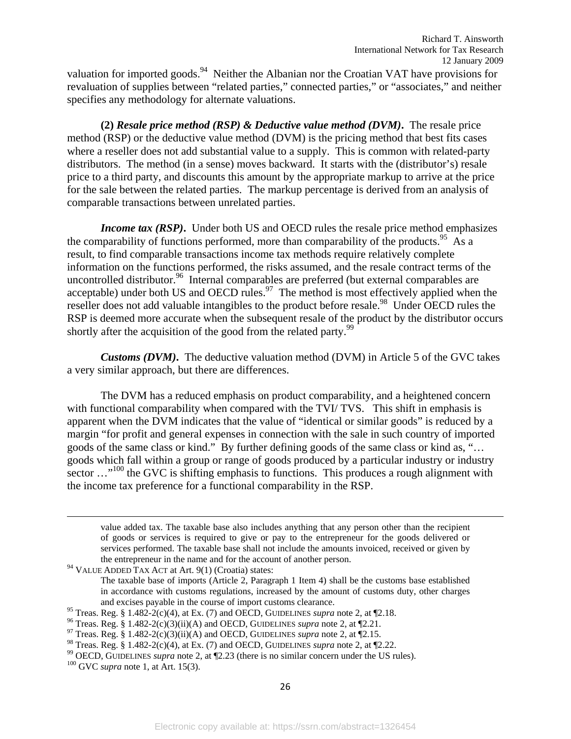valuation for imported goods.<sup>94</sup> Neither the Albanian nor the Croatian VAT have provisions for revaluation of supplies between "related parties," connected parties," or "associates," and neither specifies any methodology for alternate valuations.

**(2)** *Resale price method (RSP) & Deductive value method (DVM)***.** The resale price method (RSP) or the deductive value method (DVM) is the pricing method that best fits cases where a reseller does not add substantial value to a supply. This is common with related-party distributors. The method (in a sense) moves backward. It starts with the (distributor's) resale price to a third party, and discounts this amount by the appropriate markup to arrive at the price for the sale between the related parties. The markup percentage is derived from an analysis of comparable transactions between unrelated parties.

*Income tax (RSP)*. Under both US and OECD rules the resale price method emphasizes the comparability of functions performed, more than comparability of the products.<sup>95</sup> As a result, to find comparable transactions income tax methods require relatively complete information on the functions performed, the risks assumed, and the resale contract terms of the uncontrolled distributor.<sup>96</sup> Internal comparables are preferred (but external comparables are acceptable) under both US and OECD rules.<sup>97</sup> The method is most effectively applied when the reseller does not add valuable intangibles to the product before resale.<sup>98</sup> Under OECD rules the RSP is deemed more accurate when the subsequent resale of the product by the distributor occurs shortly after the acquisition of the good from the related party.<sup>99</sup>

*Customs (DVM)***.** The deductive valuation method (DVM) in Article 5 of the GVC takes a very similar approach, but there are differences.

The DVM has a reduced emphasis on product comparability, and a heightened concern with functional comparability when compared with the TVI/ TVS. This shift in emphasis is apparent when the DVM indicates that the value of "identical or similar goods" is reduced by a margin "for profit and general expenses in connection with the sale in such country of imported goods of the same class or kind." By further defining goods of the same class or kind as, "… goods which fall within a group or range of goods produced by a particular industry or industry sector ...<sup>"100</sup> the GVC is shifting emphasis to functions. This produces a rough alignment with the income tax preference for a functional comparability in the RSP.

value added tax. The taxable base also includes anything that any person other than the recipient of goods or services is required to give or pay to the entrepreneur for the goods delivered or services performed. The taxable base shall not include the amounts invoiced, received or given by the entrepreneur in the name and for the account of another person.

<u> 1989 - Johann Stoff, amerikansk politiker (d. 1989)</u>

<sup>94</sup> VALUE ADDED TAX ACT at Art. 9(1) (Croatia) states:

The taxable base of imports (Article 2, Paragraph 1 Item 4) shall be the customs base established in accordance with customs regulations, increased by the amount of customs duty, other charges

and excises payable in the course of import customs clearance.<br><sup>95</sup> Treas. Reg. § 1.482-2(c)(4), at Ex. (7) and OECD, GUIDELINES *supra* note 2, at ¶2.18.

<sup>&</sup>lt;sup>96</sup> Treas. Reg. § 1.482-2(c)(3)(ii)(A) and OECD, GUIDELINES *supra* note 2, at ¶2.21.<br><sup>97</sup> Treas. Reg. § 1.482-2(c)(3)(ii)(A) and OECD, GUIDELINES *supra* note 2, at ¶2.15.<br><sup>98</sup> Treas. Reg. § 1.482-2(c)(4), at Ex. (7) an

<sup>&</sup>lt;sup>99</sup> OECD, GUIDELINES *supra* note 2, at  $\P$ 2.23 (there is no similar concern under the US rules).<br><sup>100</sup> GVC *supra* note 1, at Art. 15(3).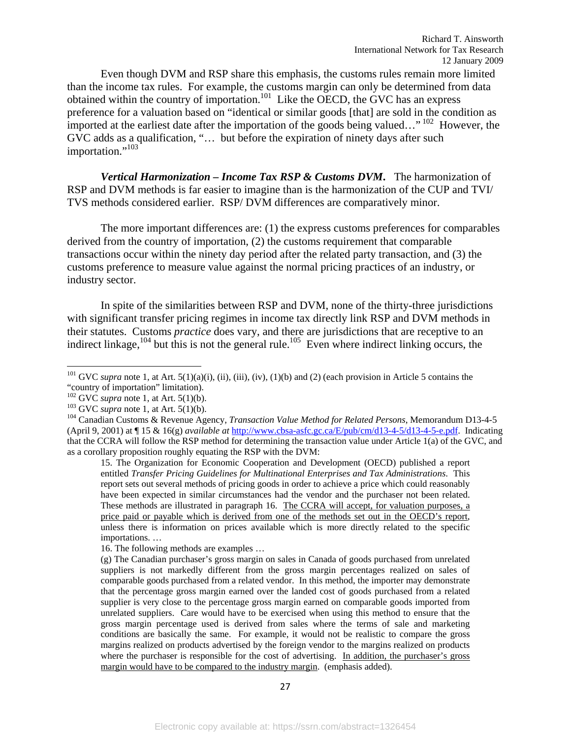Even though DVM and RSP share this emphasis, the customs rules remain more limited than the income tax rules. For example, the customs margin can only be determined from data obtained within the country of importation.<sup>101</sup> Like the OECD, the GVC has an express preference for a valuation based on "identical or similar goods [that] are sold in the condition as imported at the earliest date after the importation of the goods being valued…" 102 However, the GVC adds as a qualification, "… but before the expiration of ninety days after such importation."<sup>103</sup>

*Vertical Harmonization – Income Tax RSP & Customs DVM***.** The harmonization of RSP and DVM methods is far easier to imagine than is the harmonization of the CUP and TVI/ TVS methods considered earlier. RSP/ DVM differences are comparatively minor.

The more important differences are: (1) the express customs preferences for comparables derived from the country of importation, (2) the customs requirement that comparable transactions occur within the ninety day period after the related party transaction, and (3) the customs preference to measure value against the normal pricing practices of an industry, or industry sector.

In spite of the similarities between RSP and DVM, none of the thirty-three jurisdictions with significant transfer pricing regimes in income tax directly link RSP and DVM methods in their statutes. Customs *practice* does vary, and there are jurisdictions that are receptive to an indirect linkage,  $104$  but this is not the general rule.<sup>105</sup> Even where indirect linking occurs, the

<sup>&</sup>lt;sup>101</sup> GVC *supra* note 1, at Art.  $5(1)(a)(i)$ , (ii), (iii), (iv), (1)(b) and (2) (each provision in Article 5 contains the "country of importation" limitation).<br> $^{102}$  GVC *supra* note 1, at Art. 5(1)(b).

<sup>&</sup>lt;sup>103</sup> GVC *supra* note 1, at Art. 5(1)(b).<br><sup>104</sup> Canadian Customs & Revenue Agency, *Transaction Value Method for Related Persons*, Memorandum D13-4-5 (April 9, 2001) at ¶ 15 & 16(g) *available at* http://www.cbsa-asfc.gc.ca/E/pub/cm/d13-4-5/d13-4-5-e.pdf. Indicating that the CCRA will follow the RSP method for determining the transaction value under Article 1(a) of the GVC, and as a corollary proposition roughly equating the RSP with the DVM:

<sup>15.</sup> The Organization for Economic Cooperation and Development (OECD) published a report entitled *Transfer Pricing Guidelines for Multinational Enterprises and Tax Administrations*. This report sets out several methods of pricing goods in order to achieve a price which could reasonably have been expected in similar circumstances had the vendor and the purchaser not been related. These methods are illustrated in paragraph 16. The CCRA will accept, for valuation purposes, a price paid or payable which is derived from one of the methods set out in the OECD's report, unless there is information on prices available which is more directly related to the specific importations. …

<sup>16.</sup> The following methods are examples …

<sup>(</sup>g) The Canadian purchaser's gross margin on sales in Canada of goods purchased from unrelated suppliers is not markedly different from the gross margin percentages realized on sales of comparable goods purchased from a related vendor. In this method, the importer may demonstrate that the percentage gross margin earned over the landed cost of goods purchased from a related supplier is very close to the percentage gross margin earned on comparable goods imported from unrelated suppliers. Care would have to be exercised when using this method to ensure that the gross margin percentage used is derived from sales where the terms of sale and marketing conditions are basically the same. For example, it would not be realistic to compare the gross margins realized on products advertised by the foreign vendor to the margins realized on products where the purchaser is responsible for the cost of advertising. In addition, the purchaser's gross margin would have to be compared to the industry margin. (emphasis added).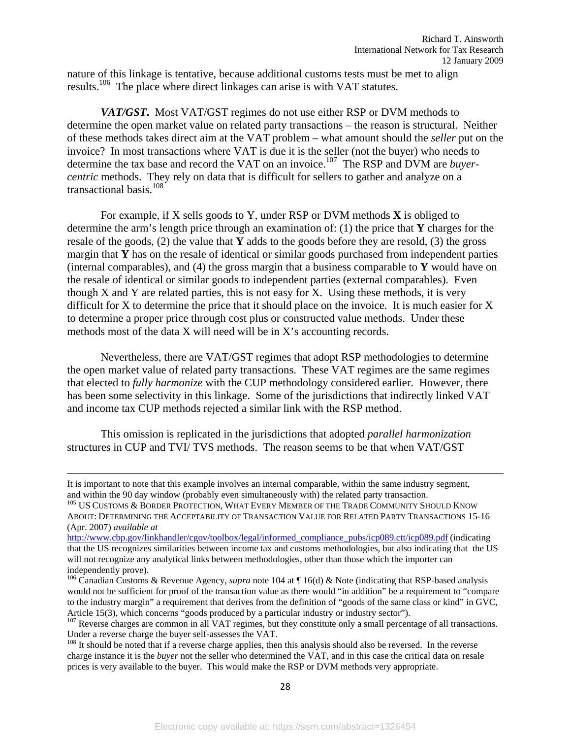nature of this linkage is tentative, because additional customs tests must be met to align results.106 The place where direct linkages can arise is with VAT statutes.

*VAT/GST***.** Most VAT/GST regimes do not use either RSP or DVM methods to determine the open market value on related party transactions – the reason is structural. Neither of these methods takes direct aim at the VAT problem – what amount should the *seller* put on the invoice? In most transactions where VAT is due it is the seller (not the buyer) who needs to determine the tax base and record the VAT on an invoice.107 The RSP and DVM are *buyercentric* methods. They rely on data that is difficult for sellers to gather and analyze on a transactional basis.<sup>108</sup>

For example, if X sells goods to Y, under RSP or DVM methods **X** is obliged to determine the arm's length price through an examination of: (1) the price that **Y** charges for the resale of the goods, (2) the value that **Y** adds to the goods before they are resold, (3) the gross margin that **Y** has on the resale of identical or similar goods purchased from independent parties (internal comparables), and (4) the gross margin that a business comparable to **Y** would have on the resale of identical or similar goods to independent parties (external comparables). Even though X and Y are related parties, this is not easy for X. Using these methods, it is very difficult for X to determine the price that it should place on the invoice. It is much easier for X to determine a proper price through cost plus or constructed value methods. Under these methods most of the data X will need will be in X's accounting records.

Nevertheless, there are VAT/GST regimes that adopt RSP methodologies to determine the open market value of related party transactions. These VAT regimes are the same regimes that elected to *fully harmonize* with the CUP methodology considered earlier. However, there has been some selectivity in this linkage. Some of the jurisdictions that indirectly linked VAT and income tax CUP methods rejected a similar link with the RSP method.

This omission is replicated in the jurisdictions that adopted *parallel harmonization* structures in CUP and TVI/ TVS methods. The reason seems to be that when VAT/GST

<u> 1989 - Johann Stein, marwolaethau a gweledydd a ganlad y ganlad y ganlad y ganlad y ganlad y ganlad y ganlad</u>

It is important to note that this example involves an internal comparable, within the same industry segment, and within the 90 day window (probably even simultaneously with) the related party transaction.

<sup>&</sup>lt;sup>105</sup> US CUSTOMS & BORDER PROTECTION, WHAT EVERY MEMBER OF THE TRADE COMMUNITY SHOULD KNOW ABOUT: DETERMINING THE ACCEPTABILITY OF TRANSACTION VALUE FOR RELATED PARTY TRANSACTIONS 15-16 (Apr. 2007) *available at*

http://www.cbp.gov/linkhandler/cgov/toolbox/legal/informed\_compliance\_pubs/icp089.ctt/icp089.pdf (indicating that the US recognizes similarities between income tax and customs methodologies, but also indicating that the US will not recognize any analytical links between methodologies, other than those which the importer can independently prove).

<sup>106</sup> Canadian Customs & Revenue Agency, *supra* note 104 at ¶ 16(d) & Note (indicating that RSP-based analysis would not be sufficient for proof of the transaction value as there would "in addition" be a requirement to "compare to the industry margin" a requirement that derives from the definition of "goods of the same class or kind" in GVC, Article 15(3), which concerns "goods produced by a particular industry or industry sector").<br><sup>107</sup> Reverse charges are common in all VAT regimes, but they constitute only a small percentage of all transactions.

Under a reverse charge the buyer self-assesses the VAT.

<sup>&</sup>lt;sup>108</sup> It should be noted that if a reverse charge applies, then this analysis should also be reversed. In the reverse charge instance it is the *buyer* not the seller who determined the VAT, and in this case the critical data on resale prices is very available to the buyer. This would make the RSP or DVM methods very appropriate.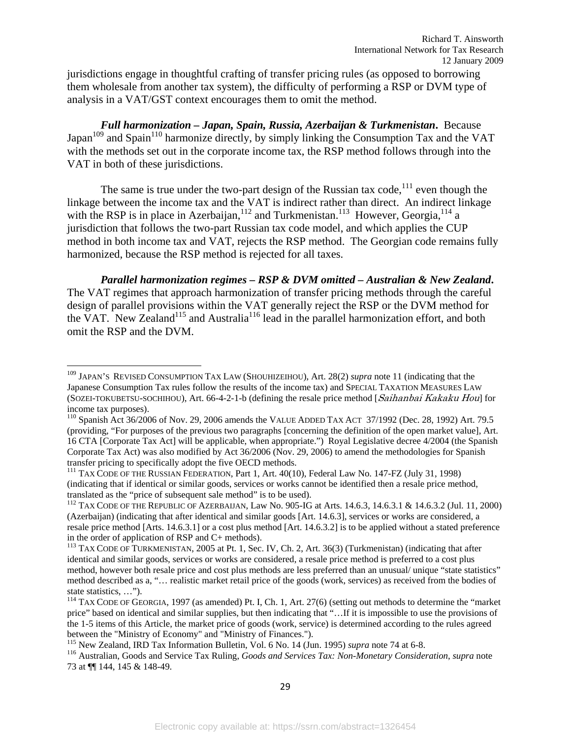jurisdictions engage in thoughtful crafting of transfer pricing rules (as opposed to borrowing them wholesale from another tax system), the difficulty of performing a RSP or DVM type of analysis in a VAT/GST context encourages them to omit the method.

*Full harmonization – Japan, Spain, Russia, Azerbaijan & Turkmenistan***.** Because Japan<sup>109</sup> and Spain<sup>110</sup> harmonize directly, by simply linking the Consumption Tax and the VAT with the methods set out in the corporate income tax, the RSP method follows through into the VAT in both of these jurisdictions.

The same is true under the two-part design of the Russian tax code,  $11$  even though the linkage between the income tax and the VAT is indirect rather than direct. An indirect linkage with the RSP is in place in Azerbaijan,  $12$  and Turkmenistan.  $113$  However, Georgia,  $114$  a jurisdiction that follows the two-part Russian tax code model, and which applies the CUP method in both income tax and VAT, rejects the RSP method. The Georgian code remains fully harmonized, because the RSP method is rejected for all taxes.

*Parallel harmonization regimes – RSP & DVM omitted – Australian & New Zealand***.** The VAT regimes that approach harmonization of transfer pricing methods through the careful design of parallel provisions within the VAT generally reject the RSP or the DVM method for the VAT. New Zealand<sup>115</sup> and Australia<sup>116</sup> lead in the parallel harmonization effort, and both omit the RSP and the DVM.

 109 JAPAN'S REVISED CONSUMPTION TAX LAW (SHOUHIZEIHOU), Art. 28(2) *supra* note 11 (indicating that the Japanese Consumption Tax rules follow the results of the income tax) and SPECIAL TAXATION MEASURES LAW (SOZEI-TOKUBETSU-SOCHIHOU), Art. 66-4-2-1-b (defining the resale price method [Saihanbai Kakaku Hou] for income tax purposes).

<sup>&</sup>lt;sup>110</sup> Spanish Act 36/2006 of Nov. 29, 2006 amends the VALUE ADDED TAX ACT 37/1992 (Dec. 28, 1992) Art. 79.5 (providing, "For purposes of the previous two paragraphs [concerning the definition of the open market value], Art. 16 CTA [Corporate Tax Act] will be applicable, when appropriate.") Royal Legislative decree 4/2004 (the Spanish Corporate Tax Act) was also modified by Act 36/2006 (Nov. 29, 2006) to amend the methodologies for Spanish transfer pricing to specifically adopt the five OECD methods.<br><sup>111</sup> TAX CODE OF THE RUSSIAN FEDERATION, Part 1, Art. 40(10), Federal Law No. 147-FZ (July 31, 1998)

<sup>(</sup>indicating that if identical or similar goods, services or works cannot be identified then a resale price method, translated as the "price of subsequent sale method" is to be used).<br><sup>112</sup> TAX CODE OF THE REPUBLIC OF AZERBAIJAN, Law No. 905-IG at Arts. 14.6.3, 14.6.3.1 & 14.6.3.2 (Jul. 11, 2000)

<sup>(</sup>Azerbaijan) (indicating that after identical and similar goods [Art. 14.6.3], services or works are considered, a resale price method [Arts. 14.6.3.1] or a cost plus method [Art. 14.6.3.2] is to be applied without a stated preference in the order of application of RSP and C+ methods).

<sup>&</sup>lt;sup>113</sup> TAX CODE OF TURKMENISTAN, 2005 at Pt. 1, Sec. IV, Ch. 2, Art. 36(3) (Turkmenistan) (indicating that after identical and similar goods, services or works are considered, a resale price method is preferred to a cost plus method, however both resale price and cost plus methods are less preferred than an unusual/ unique "state statistics" method described as a, "… realistic market retail price of the goods (work, services) as received from the bodies of state statistics, …").

<sup>114</sup> TAX CODE OF GEORGIA, 1997 (as amended) Pt. I, Ch. 1, Art. 27(6) (setting out methods to determine the "market price" based on identical and similar supplies, but then indicating that "…If it is impossible to use the provisions of the 1-5 items of this Article, the market price of goods (work, service) is determined according to the rules agreed between the "Ministry of Economy" and "Ministry of Finances.").<br><sup>115</sup> New Zealand, IRD Tax Information Bulletin, Vol. 6 No. 14 (Jun. 1995) *supra* note 74 at 6-8.<br><sup>116</sup> Australian, Goods and Service Tax Ruling, *Goods and* 

<sup>73</sup> at ¶¶ 144, 145 & 148-49.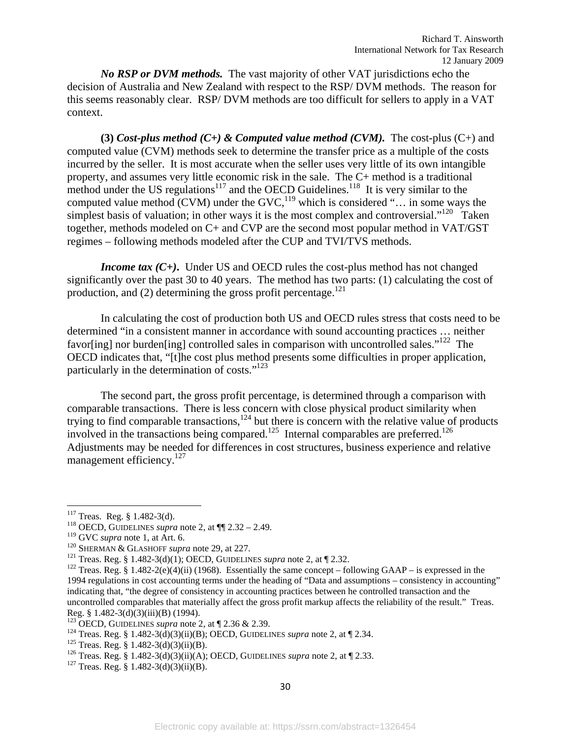*No RSP or DVM methods.* The vast majority of other VAT jurisdictions echo the decision of Australia and New Zealand with respect to the RSP/ DVM methods. The reason for this seems reasonably clear. RSP/ DVM methods are too difficult for sellers to apply in a VAT context.

**(3)** *Cost-plus method*  $(C+)$  & *Computed value method*  $(CVM)$ . The cost-plus  $(C+)$  and computed value (CVM) methods seek to determine the transfer price as a multiple of the costs incurred by the seller. It is most accurate when the seller uses very little of its own intangible property, and assumes very little economic risk in the sale. The C+ method is a traditional method under the US regulations<sup>117</sup> and the OECD Guidelines.<sup>118</sup> It is very similar to the computed value method (CVM) under the GVC,<sup>119</sup> which is considered "... in some ways the simplest basis of valuation; in other ways it is the most complex and controversial."<sup>120</sup> Taken together, methods modeled on C+ and CVP are the second most popular method in VAT/GST regimes – following methods modeled after the CUP and TVI/TVS methods.

*Income tax (C+)*. Under US and OECD rules the cost-plus method has not changed significantly over the past 30 to 40 years. The method has two parts: (1) calculating the cost of production, and (2) determining the gross profit percentage. $^{121}$ 

In calculating the cost of production both US and OECD rules stress that costs need to be determined "in a consistent manner in accordance with sound accounting practices … neither favor[ing] nor burden[ing] controlled sales in comparison with uncontrolled sales."<sup>122</sup> The OECD indicates that, "[t]he cost plus method presents some difficulties in proper application, particularly in the determination of costs."<sup>123</sup>

The second part, the gross profit percentage, is determined through a comparison with comparable transactions. There is less concern with close physical product similarity when trying to find comparable transactions,  $124$  but there is concern with the relative value of products involved in the transactions being compared.<sup>125</sup> Internal comparables are preferred.<sup>126</sup> Adjustments may be needed for differences in cost structures, business experience and relative management efficiency.<sup>127</sup>

<sup>&</sup>lt;sup>117</sup> Treas. Reg. § 1.482-3(d).

<sup>&</sup>lt;sup>118</sup> OECD, GUIDELINES *supra* note 2, at  $\P$  2.32 – 2.49.<br><sup>119</sup> GVC *supra* note 1, at Art. 6.

<sup>&</sup>lt;sup>120</sup> SHERMAN & GLASHOFF *supra* note 29, at 227.<br><sup>121</sup> Treas. Reg. § 1.482-3(d)(1); OECD, GUIDELINES *supra* note 2, at ¶ 2.32.<br><sup>122</sup> Treas. Reg. § 1.482-2(e)(4)(ii) (1968). Essentially the same concept – following GAAP 1994 regulations in cost accounting terms under the heading of "Data and assumptions – consistency in accounting" indicating that, "the degree of consistency in accounting practices between he controlled transaction and the uncontrolled comparables that materially affect the gross profit markup affects the reliability of the result." Treas. Reg. § 1.482-3(d)(3)(iii)(B) (1994).<br><sup>123</sup> OECD, GUIDELINES *supra* note 2, at ¶ 2.36 & 2.39.

<sup>&</sup>lt;sup>124</sup> Treas. Reg. § 1.482-3(d)(3)(ii)(B); OECD, GUIDELINES *supra* note 2, at ¶ 2.34.<br><sup>125</sup> Treas. Reg. § 1.482-3(d)(3)(ii)(B).<br><sup>126</sup> Treas. Reg. § 1.482-3(d)(3)(ii)(A); OECD, GUIDELINES *supra* note 2, at ¶ 2.33.<br><sup>127</sup> T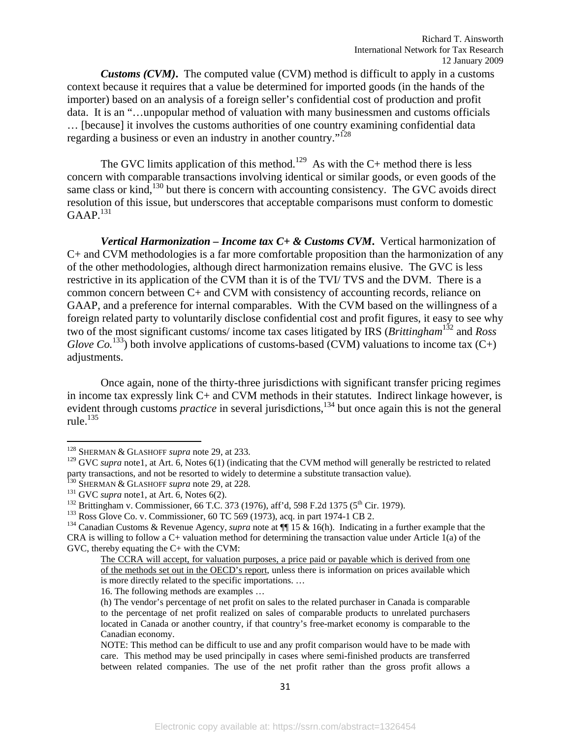*Customs (CVM)***.** The computed value (CVM) method is difficult to apply in a customs context because it requires that a value be determined for imported goods (in the hands of the importer) based on an analysis of a foreign seller's confidential cost of production and profit data. It is an "…unpopular method of valuation with many businessmen and customs officials … [because] it involves the customs authorities of one country examining confidential data regarding a business or even an industry in another country."<sup>128</sup>

The GVC limits application of this method.<sup>129</sup> As with the C+ method there is less concern with comparable transactions involving identical or similar goods, or even goods of the same class or kind,<sup>130</sup> but there is concern with accounting consistency. The GVC avoids direct resolution of this issue, but underscores that acceptable comparisons must conform to domestic  $GAAP.<sup>131</sup>$ 

*Vertical Harmonization – Income tax C+ & Customs CVM***.** Vertical harmonization of C+ and CVM methodologies is a far more comfortable proposition than the harmonization of any of the other methodologies, although direct harmonization remains elusive. The GVC is less restrictive in its application of the CVM than it is of the TVI/ TVS and the DVM. There is a common concern between C+ and CVM with consistency of accounting records, reliance on GAAP, and a preference for internal comparables. With the CVM based on the willingness of a foreign related party to voluntarily disclose confidential cost and profit figures, it easy to see why two of the most significant customs/ income tax cases litigated by IRS (*Brittingham*132 and *Ross Glove Co.*<sup>133</sup>) both involve applications of customs-based (CVM) valuations to income tax (C+) adjustments.

Once again, none of the thirty-three jurisdictions with significant transfer pricing regimes in income tax expressly link C+ and CVM methods in their statutes. Indirect linkage however, is evident through customs *practice* in several jurisdictions,<sup>134</sup> but once again this is not the general rule. $^{135}$ 

<sup>128</sup> SHERMAN & GLASHOFF *supra* note 29, at 233.

<sup>&</sup>lt;sup>129</sup> GVC *supra* note1, at Art. 6, Notes 6(1) (indicating that the CVM method will generally be restricted to related party transactions, and not be resorted to widely to determine a substitute transaction value).<br><sup>130</sup> SHERMAN & GLASHOFF *supra* note 29, at 228.

<sup>&</sup>lt;sup>131</sup> GVC *supra* note1, at Art. 6, Notes 6(2).<br><sup>132</sup> Brittingham v. Commissioner, 66 T.C. 373 (1976), aff'd, 598 F.2d 1375 (5<sup>th</sup> Cir. 1979).<br><sup>133</sup> Ross Glove Co. v. Commissioner, 60 TC 569 (1973), acq. in part 1974-1 CB

CRA is willing to follow a C+ valuation method for determining the transaction value under Article 1(a) of the GVC, thereby equating the C+ with the CVM:

The CCRA will accept, for valuation purposes, a price paid or payable which is derived from one of the methods set out in the OECD's report, unless there is information on prices available which is more directly related to the specific importations. …

<sup>16.</sup> The following methods are examples …

<sup>(</sup>h) The vendor's percentage of net profit on sales to the related purchaser in Canada is comparable to the percentage of net profit realized on sales of comparable products to unrelated purchasers located in Canada or another country, if that country's free-market economy is comparable to the Canadian economy.

NOTE: This method can be difficult to use and any profit comparison would have to be made with care. This method may be used principally in cases where semi-finished products are transferred between related companies. The use of the net profit rather than the gross profit allows a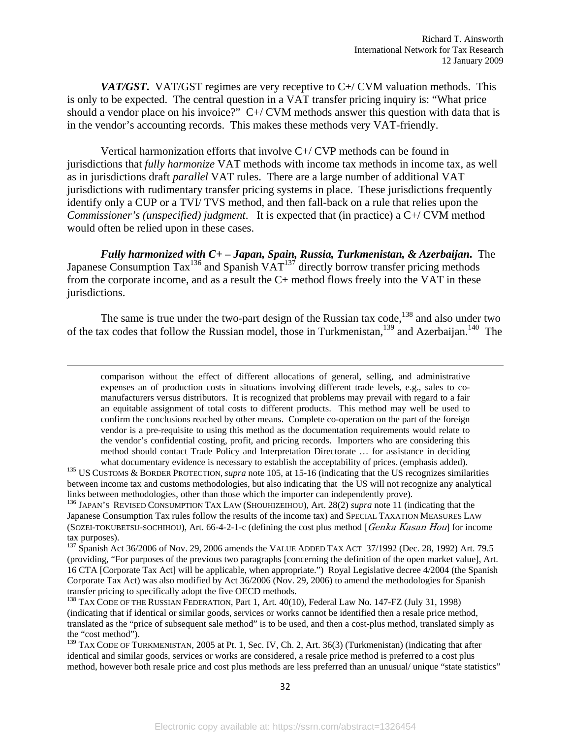*VAT/GST***.** VAT/GST regimes are very receptive to C+/ CVM valuation methods. This is only to be expected. The central question in a VAT transfer pricing inquiry is: "What price should a vendor place on his invoice?" C+/ CVM methods answer this question with data that is in the vendor's accounting records. This makes these methods very VAT-friendly.

Vertical harmonization efforts that involve  $C+$ / CVP methods can be found in jurisdictions that *fully harmonize* VAT methods with income tax methods in income tax, as well as in jurisdictions draft *parallel* VAT rules. There are a large number of additional VAT jurisdictions with rudimentary transfer pricing systems in place. These jurisdictions frequently identify only a CUP or a TVI/ TVS method, and then fall-back on a rule that relies upon the *Commissioner's (unspecified) judgment*. It is expected that (in practice) a C+/ CVM method would often be relied upon in these cases.

*Fully harmonized with C+ – Japan, Spain, Russia, Turkmenistan, & Azerbaijan***.** The Japanese Consumption Tax<sup>136</sup> and Spanish  $VAT^{137}$  directly borrow transfer pricing methods from the corporate income, and as a result the C+ method flows freely into the VAT in these jurisdictions.

The same is true under the two-part design of the Russian tax code,<sup>138</sup> and also under two of the tax codes that follow the Russian model, those in Turkmenistan,<sup>139</sup> and Azerbaijan.<sup>140</sup> The

<u> 1989 - Johann Stein, marwolaethau a gweledydd a ganlad y ganlad y ganlad y ganlad y ganlad y ganlad y ganlad</u>

comparison without the effect of different allocations of general, selling, and administrative expenses an of production costs in situations involving different trade levels, e.g., sales to comanufacturers versus distributors. It is recognized that problems may prevail with regard to a fair an equitable assignment of total costs to different products. This method may well be used to confirm the conclusions reached by other means. Complete co-operation on the part of the foreign vendor is a pre-requisite to using this method as the documentation requirements would relate to the vendor's confidential costing, profit, and pricing records. Importers who are considering this method should contact Trade Policy and Interpretation Directorate … for assistance in deciding

what documentary evidence is necessary to establish the acceptability of prices. (emphasis added).<br><sup>135</sup> US CUSTOMS & BORDER PROTECTION, *supra* note 105, at 15-16 (indicating that the US recognizes similarities between income tax and customs methodologies, but also indicating that the US will not recognize any analytical links between methodologies, other than those which the importer can independently prove).

136 JAPAN'S REVISED CONSUMPTION TAX LAW (SHOUHIZEIHOU), Art. 28(2) *supra* note 11 (indicating that the Japanese Consumption Tax rules follow the results of the income tax) and SPECIAL TAXATION MEASURES LAW (SOZEI-TOKUBETSU-SOCHIHOU), Art. 66-4-2-1-c (defining the cost plus method [Genka Kasan Hou] for income tax purposes).

 $^{137}$  Spanish Act 36/2006 of Nov. 29, 2006 amends the VALUE ADDED TAX ACT 37/1992 (Dec. 28, 1992) Art. 79.5 (providing, "For purposes of the previous two paragraphs [concerning the definition of the open market value], Art. 16 CTA [Corporate Tax Act] will be applicable, when appropriate.") Royal Legislative decree 4/2004 (the Spanish Corporate Tax Act) was also modified by Act 36/2006 (Nov. 29, 2006) to amend the methodologies for Spanish transfer pricing to specifically adopt the five OECD methods.<br><sup>138</sup> TAX CODE OF THE RUSSIAN FEDERATION, Part 1, Art. 40(10), Federal Law No. 147-FZ (July 31, 1998)

(indicating that if identical or similar goods, services or works cannot be identified then a resale price method, translated as the "price of subsequent sale method" is to be used, and then a cost-plus method, translated simply as the "cost method").

<sup>139</sup> TAX CODE OF TURKMENISTAN, 2005 at Pt. 1, Sec. IV, Ch. 2, Art. 36(3) (Turkmenistan) (indicating that after identical and similar goods, services or works are considered, a resale price method is preferred to a cost plus method, however both resale price and cost plus methods are less preferred than an unusual/ unique "state statistics"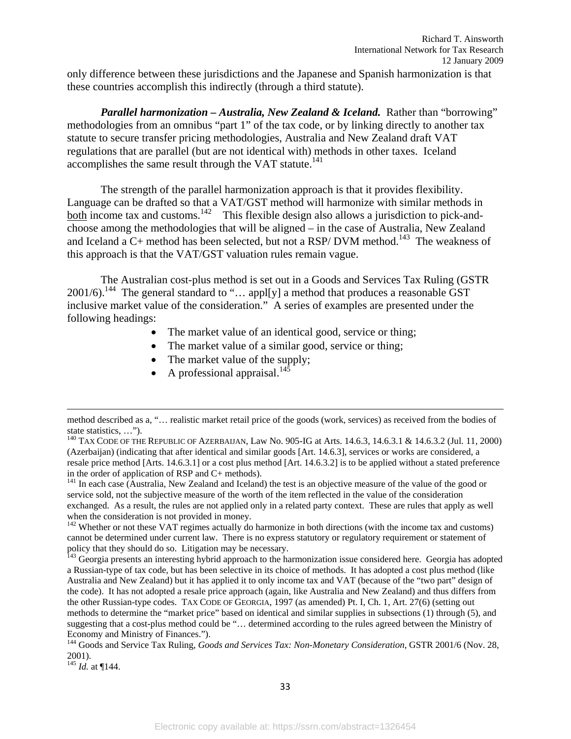only difference between these jurisdictions and the Japanese and Spanish harmonization is that these countries accomplish this indirectly (through a third statute).

*Parallel harmonization – Australia, New Zealand & Iceland.* Rather than "borrowing" methodologies from an omnibus "part 1" of the tax code, or by linking directly to another tax statute to secure transfer pricing methodologies, Australia and New Zealand draft VAT regulations that are parallel (but are not identical with) methods in other taxes. Iceland accomplishes the same result through the VAT statute.<sup>141</sup>

The strength of the parallel harmonization approach is that it provides flexibility. Language can be drafted so that a VAT/GST method will harmonize with similar methods in both income tax and customs.<sup>142</sup> This flexible design also allows a jurisdiction to pick-andchoose among the methodologies that will be aligned – in the case of Australia, New Zealand and Iceland a  $C$ + method has been selected, but not a RSP/ DVM method.<sup>143</sup> The weakness of this approach is that the VAT/GST valuation rules remain vague.

The Australian cost-plus method is set out in a Goods and Services Tax Ruling (GSTR 2001/6).<sup>144</sup> The general standard to "... appl[y] a method that produces a reasonable GST inclusive market value of the consideration." A series of examples are presented under the following headings:

- The market value of an identical good, service or thing;
- The market value of a similar good, service or thing;
- The market value of the supply;
- A professional appraisal.<sup>145</sup>

<u> 1989 - Johann Stein, marwolaethau a gweledydd a ganlad y ganlad y ganlad y ganlad y ganlad y ganlad y ganlad</u>

<sup>142</sup> Whether or not these VAT regimes actually do harmonize in both directions (with the income tax and customs) cannot be determined under current law. There is no express statutory or regulatory requirement or statement of policy that they should do so. Litigation may be necessary.<br><sup>143</sup> Georgia presents an interesting hybrid approach to the harmonization issue considered here. Georgia has adopted

a Russian-type of tax code, but has been selective in its choice of methods. It has adopted a cost plus method (like Australia and New Zealand) but it has applied it to only income tax and VAT (because of the "two part" design of the code). It has not adopted a resale price approach (again, like Australia and New Zealand) and thus differs from the other Russian-type codes. TAX CODE OF GEORGIA, 1997 (as amended) Pt. I, Ch. 1, Art. 27(6) (setting out methods to determine the "market price" based on identical and similar supplies in subsections (1) through (5), and suggesting that a cost-plus method could be "… determined according to the rules agreed between the Ministry of Economy and Ministry of Finances.").

144 Goods and Service Tax Ruling, *Goods and Services Tax: Non-Monetary Consideration*, GSTR 2001/6 (Nov. 28, 2001).

<sup>145</sup> *Id.* at ¶144.

method described as a, "… realistic market retail price of the goods (work, services) as received from the bodies of state statistics, …").

 $^{140}$  Tax Code of the Republic of Azerbaijan, Law No. 905-IG at Arts. 14.6.3, 14.6.3.1 & 14.6.3.2 (Jul. 11, 2000) (Azerbaijan) (indicating that after identical and similar goods [Art. 14.6.3], services or works are considered, a resale price method [Arts. 14.6.3.1] or a cost plus method [Art. 14.6.3.2] is to be applied without a stated preference in the order of application of RSP and C+ methods).

<sup>&</sup>lt;sup>141</sup> In each case (Australia, New Zealand and Iceland) the test is an objective measure of the value of the good or service sold, not the subjective measure of the worth of the item reflected in the value of the consideration exchanged. As a result, the rules are not applied only in a related party context. These are rules that apply as well when the consideration is not provided in money.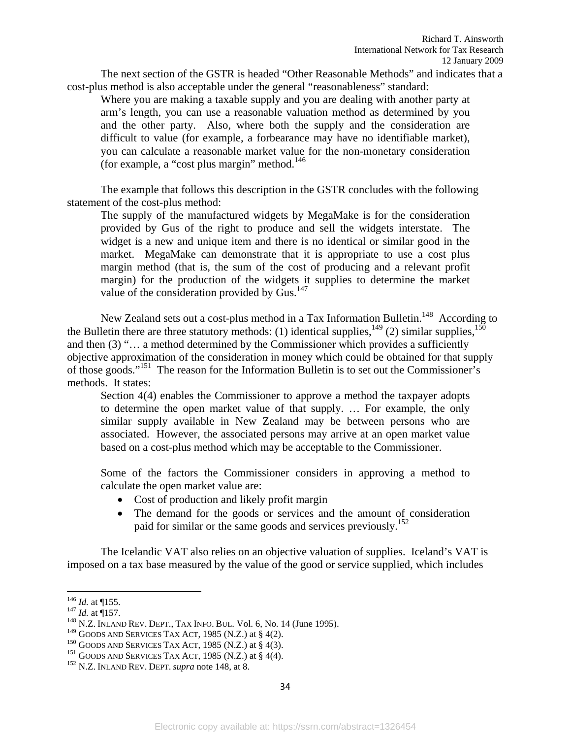The next section of the GSTR is headed "Other Reasonable Methods" and indicates that a cost-plus method is also acceptable under the general "reasonableness" standard:

Where you are making a taxable supply and you are dealing with another party at arm's length, you can use a reasonable valuation method as determined by you and the other party. Also, where both the supply and the consideration are difficult to value (for example, a forbearance may have no identifiable market), you can calculate a reasonable market value for the non-monetary consideration (for example, a "cost plus margin" method.<sup>146</sup>

The example that follows this description in the GSTR concludes with the following statement of the cost-plus method:

The supply of the manufactured widgets by MegaMake is for the consideration provided by Gus of the right to produce and sell the widgets interstate. The widget is a new and unique item and there is no identical or similar good in the market. MegaMake can demonstrate that it is appropriate to use a cost plus margin method (that is, the sum of the cost of producing and a relevant profit margin) for the production of the widgets it supplies to determine the market value of the consideration provided by Gus. $147$ 

New Zealand sets out a cost-plus method in a Tax Information Bulletin.<sup>148</sup> According to the Bulletin there are three statutory methods: (1) identical supplies,<sup>149</sup> (2) similar supplies,<sup>150</sup> and then (3) "… a method determined by the Commissioner which provides a sufficiently objective approximation of the consideration in money which could be obtained for that supply of those goods."151 The reason for the Information Bulletin is to set out the Commissioner's methods. It states:

Section 4(4) enables the Commissioner to approve a method the taxpayer adopts to determine the open market value of that supply. … For example, the only similar supply available in New Zealand may be between persons who are associated. However, the associated persons may arrive at an open market value based on a cost-plus method which may be acceptable to the Commissioner.

Some of the factors the Commissioner considers in approving a method to calculate the open market value are:

- Cost of production and likely profit margin
- The demand for the goods or services and the amount of consideration paid for similar or the same goods and services previously.<sup>152</sup>

The Icelandic VAT also relies on an objective valuation of supplies. Iceland's VAT is imposed on a tax base measured by the value of the good or service supplied, which includes

<sup>&</sup>lt;sup>146</sup> *Id.* at ¶155.<br><sup>147</sup> *Id.* at ¶157.<br><sup>148</sup> N.Z. INLAND REV. DEPT., TAX INFO. BUL. Vol. 6, No. 14 (June 1995).

<sup>&</sup>lt;sup>149</sup> GOODS AND SERVICES TAX ACT, 1985 (N.Z.) at § 4(2).<br><sup>150</sup> GOODS AND SERVICES TAX ACT, 1985 (N.Z.) at § 4(3).<br><sup>151</sup> GOODS AND SERVICES TAX ACT, 1985 (N.Z.) at § 4(4).<br><sup>152</sup> N.Z. INLAND REV. DEPT. *supra* note 148, at 8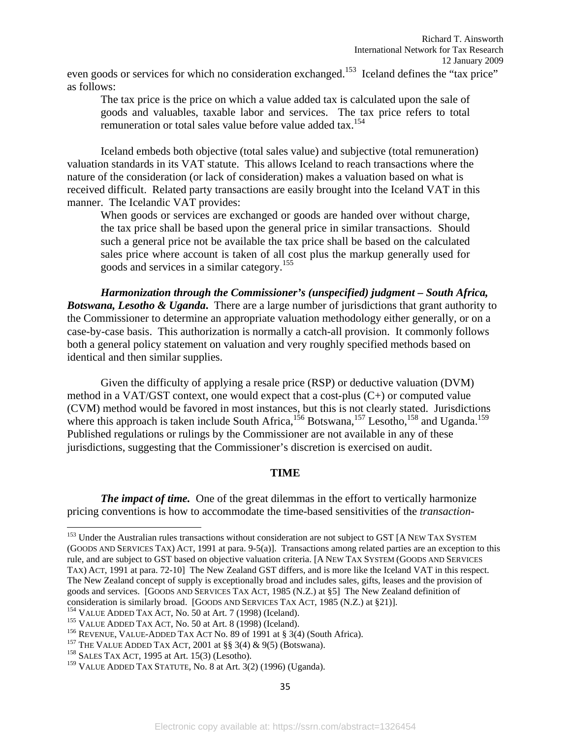even goods or services for which no consideration exchanged.<sup>153</sup> Iceland defines the "tax price" as follows:

The tax price is the price on which a value added tax is calculated upon the sale of goods and valuables, taxable labor and services. The tax price refers to total remuneration or total sales value before value added tax.<sup>154</sup>

Iceland embeds both objective (total sales value) and subjective (total remuneration) valuation standards in its VAT statute. This allows Iceland to reach transactions where the nature of the consideration (or lack of consideration) makes a valuation based on what is received difficult. Related party transactions are easily brought into the Iceland VAT in this manner. The Icelandic VAT provides:

When goods or services are exchanged or goods are handed over without charge, the tax price shall be based upon the general price in similar transactions. Should such a general price not be available the tax price shall be based on the calculated sales price where account is taken of all cost plus the markup generally used for goods and services in a similar category.155

*Harmonization through the Commissioner's (unspecified) judgment – South Africa, Botswana, Lesotho & Uganda***.** There are a large number of jurisdictions that grant authority to the Commissioner to determine an appropriate valuation methodology either generally, or on a case-by-case basis. This authorization is normally a catch-all provision. It commonly follows both a general policy statement on valuation and very roughly specified methods based on identical and then similar supplies.

Given the difficulty of applying a resale price (RSP) or deductive valuation (DVM) method in a VAT/GST context, one would expect that a cost-plus (C+) or computed value (CVM) method would be favored in most instances, but this is not clearly stated. Jurisdictions where this approach is taken include South Africa,  $156$  Botswana,  $157$  Lesotho,  $158$  and Uganda.<sup>159</sup> Published regulations or rulings by the Commissioner are not available in any of these jurisdictions, suggesting that the Commissioner's discretion is exercised on audit.

### **TIME**

*The impact of time.* One of the great dilemmas in the effort to vertically harmonize pricing conventions is how to accommodate the time-based sensitivities of the *transaction-*

<sup>&</sup>lt;sup>153</sup> Under the Australian rules transactions without consideration are not subject to GST [A NEW TAX SYSTEM (GOODS AND SERVICES TAX) ACT, 1991 at para. 9-5(a)]. Transactions among related parties are an exception to this rule, and are subject to GST based on objective valuation criteria. [A NEW TAX SYSTEM (GOODS AND SERVICES TAX) ACT, 1991 at para. 72-10] The New Zealand GST differs, and is more like the Iceland VAT in this respect. The New Zealand concept of supply is exceptionally broad and includes sales, gifts, leases and the provision of goods and services. [GOODS AND SERVICES TAX ACT, 1985 (N.Z.) at §5] The New Zealand definition of consideration is similarly broad. [GOODS AND SERVICES TAX ACT, 1985 (N.Z.) at §21)].

<sup>&</sup>lt;sup>154</sup> VALUE ADDED TAX ACT, No. 50 at Art. 7 (1998) (Iceland).<br><sup>155</sup> VALUE ADDED TAX ACT, No. 50 at Art. 8 (1998) (Iceland).<br><sup>156</sup> REVENUE, VALUE-ADDED TAX ACT No. 89 of 1991 at § 3(4) (South Africa).<br><sup>157</sup> THE VALUE ADDED

 $159$  VALUE ADDED TAX STATUTE, No. 8 at Art. 3(2) (1996) (Uganda).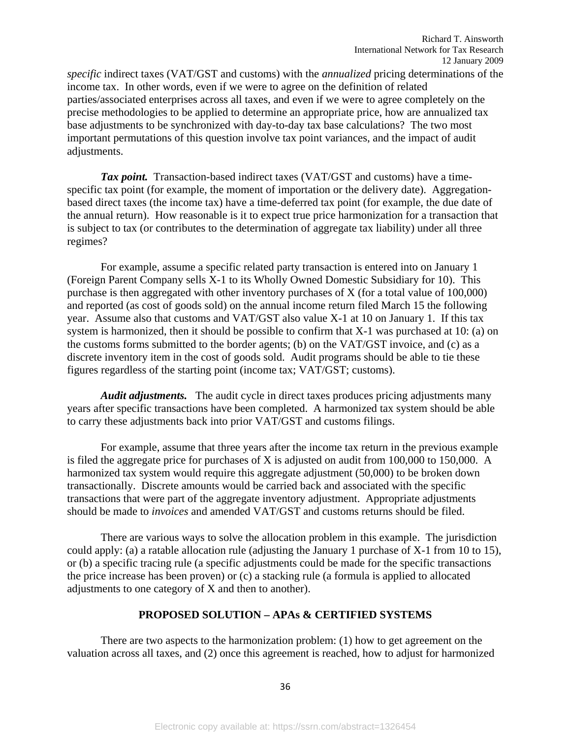*specific* indirect taxes (VAT/GST and customs) with the *annualized* pricing determinations of the income tax. In other words, even if we were to agree on the definition of related parties/associated enterprises across all taxes, and even if we were to agree completely on the precise methodologies to be applied to determine an appropriate price, how are annualized tax base adjustments to be synchronized with day-to-day tax base calculations? The two most important permutations of this question involve tax point variances, and the impact of audit adjustments.

*Tax point.* Transaction-based indirect taxes (VAT/GST and customs) have a timespecific tax point (for example, the moment of importation or the delivery date). Aggregationbased direct taxes (the income tax) have a time-deferred tax point (for example, the due date of the annual return). How reasonable is it to expect true price harmonization for a transaction that is subject to tax (or contributes to the determination of aggregate tax liability) under all three regimes?

For example, assume a specific related party transaction is entered into on January 1 (Foreign Parent Company sells X-1 to its Wholly Owned Domestic Subsidiary for 10). This purchase is then aggregated with other inventory purchases of X (for a total value of 100,000) and reported (as cost of goods sold) on the annual income return filed March 15 the following year. Assume also that customs and VAT/GST also value X-1 at 10 on January 1. If this tax system is harmonized, then it should be possible to confirm that X-1 was purchased at 10: (a) on the customs forms submitted to the border agents; (b) on the VAT/GST invoice, and (c) as a discrete inventory item in the cost of goods sold. Audit programs should be able to tie these figures regardless of the starting point (income tax; VAT/GST; customs).

*Audit adjustments.* The audit cycle in direct taxes produces pricing adjustments many years after specific transactions have been completed. A harmonized tax system should be able to carry these adjustments back into prior VAT/GST and customs filings.

For example, assume that three years after the income tax return in the previous example is filed the aggregate price for purchases of X is adjusted on audit from 100,000 to 150,000. A harmonized tax system would require this aggregate adjustment (50,000) to be broken down transactionally. Discrete amounts would be carried back and associated with the specific transactions that were part of the aggregate inventory adjustment. Appropriate adjustments should be made to *invoices* and amended VAT/GST and customs returns should be filed.

There are various ways to solve the allocation problem in this example. The jurisdiction could apply: (a) a ratable allocation rule (adjusting the January 1 purchase of X-1 from 10 to 15), or (b) a specific tracing rule (a specific adjustments could be made for the specific transactions the price increase has been proven) or (c) a stacking rule (a formula is applied to allocated adjustments to one category of X and then to another).

### **PROPOSED SOLUTION – APAs & CERTIFIED SYSTEMS**

 There are two aspects to the harmonization problem: (1) how to get agreement on the valuation across all taxes, and (2) once this agreement is reached, how to adjust for harmonized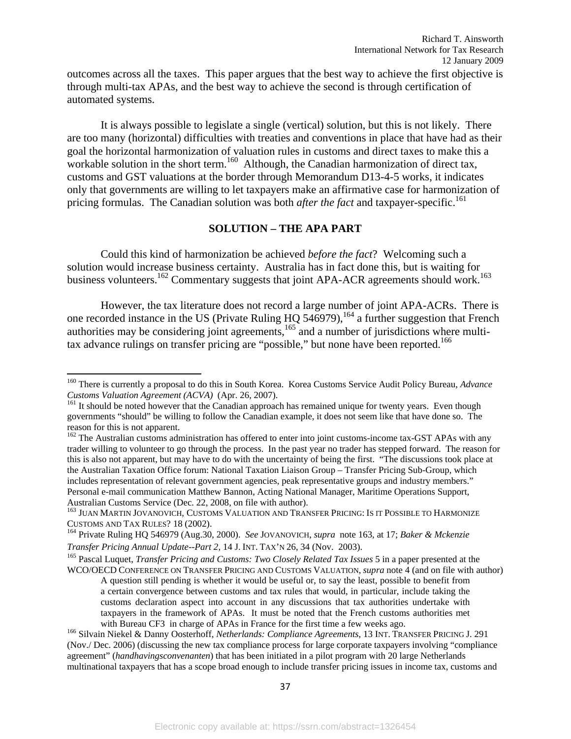outcomes across all the taxes. This paper argues that the best way to achieve the first objective is through multi-tax APAs, and the best way to achieve the second is through certification of automated systems.

It is always possible to legislate a single (vertical) solution, but this is not likely. There are too many (horizontal) difficulties with treaties and conventions in place that have had as their goal the horizontal harmonization of valuation rules in customs and direct taxes to make this a workable solution in the short term.<sup>160</sup> Although, the Canadian harmonization of direct tax, customs and GST valuations at the border through Memorandum D13-4-5 works, it indicates only that governments are willing to let taxpayers make an affirmative case for harmonization of pricing formulas. The Canadian solution was both *after the fact* and taxpayer-specific.<sup>161</sup>

#### **SOLUTION – THE APA PART**

Could this kind of harmonization be achieved *before the fact*? Welcoming such a solution would increase business certainty. Australia has in fact done this, but is waiting for business volunteers.<sup>162</sup> Commentary suggests that joint APA-ACR agreements should work.<sup>163</sup>

However, the tax literature does not record a large number of joint APA-ACRs. There is one recorded instance in the US (Private Ruling HQ  $546979$ ),  $164$  a further suggestion that French authorities may be considering joint agreements,<sup>165</sup> and a number of jurisdictions where multitax advance rulings on transfer pricing are "possible," but none have been reported.<sup>166</sup>

<sup>&</sup>lt;sup>160</sup> There is currently a proposal to do this in South Korea. Korea Customs Service Audit Policy Bureau, *Advance* Customs Valuation Agreement (ACVA) (Apr. 26, 2007).

<sup>&</sup>lt;sup>161</sup> It should be noted however that the Canadian approach has remained unique for twenty years. Even though governments "should" be willing to follow the Canadian example, it does not seem like that have done so. The reason for this is not apparent.

<sup>&</sup>lt;sup>162</sup> The Australian customs administration has offered to enter into joint customs-income tax-GST APAs with any trader willing to volunteer to go through the process. In the past year no trader has stepped forward. The reason for this is also not apparent, but may have to do with the uncertainty of being the first. "The discussions took place at the Australian Taxation Office forum: National Taxation Liaison Group – Transfer Pricing Sub-Group, which includes representation of relevant government agencies, peak representative groups and industry members." Personal e-mail communication Matthew Bannon, Acting National Manager, Maritime Operations Support, Australian Customs Service (Dec. 22, 2008, on file with author).

<sup>&</sup>lt;sup>163</sup> JUAN MARTIN JOVANOVICH, CUSTOMS VALUATION AND TRANSFER PRICING: IS IT POSSIBLE TO HARMONIZE<br>CUSTOMS AND TAX RULES? 18 (2002).

<sup>&</sup>lt;sup>164</sup> Private Ruling HQ 546979 (Aug.30, 2000). *See* JOVANOVICH, *supra* note 163, at 17; *Baker & Mckenzie Transfer Pricing Annual Update--Part 2, 14 J. INT. TAX'N 26, 34 (Nov. 2003).*<br><sup>165</sup> Pascal Luquet, *Transfer Pricing and Customs: Two Closely Related Tax Issues 5* in a paper presented at the

WCO/OECD CONFERENCE ON TRANSFER PRICING AND CUSTOMS VALUATION, *supra* note 4 (and on file with author)

A question still pending is whether it would be useful or, to say the least, possible to benefit from a certain convergence between customs and tax rules that would, in particular, include taking the customs declaration aspect into account in any discussions that tax authorities undertake with taxpayers in the framework of APAs. It must be noted that the French customs authorities met

with Bureau CF3 in charge of APAs in France for the first time a few weeks ago.<br><sup>166</sup> Silvain Niekel & Danny Oosterhoff, *Netherlands: Compliance Agreements*, 13 INT. TRANSFER PRICING J. 291 (Nov./ Dec. 2006) (discussing the new tax compliance process for large corporate taxpayers involving "compliance agreement" (*handhavingsconvenanten*) that has been initiated in a pilot program with 20 large Netherlands multinational taxpayers that has a scope broad enough to include transfer pricing issues in income tax, customs and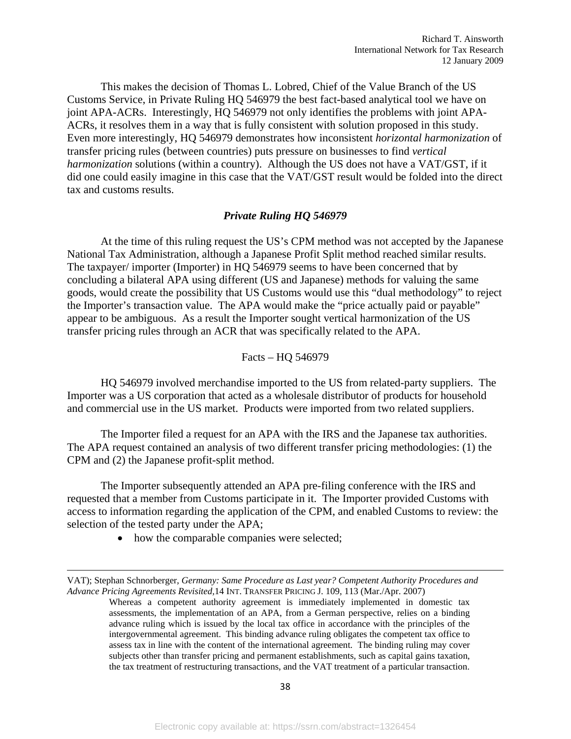This makes the decision of Thomas L. Lobred, Chief of the Value Branch of the US Customs Service, in Private Ruling HQ 546979 the best fact-based analytical tool we have on joint APA-ACRs. Interestingly, HQ 546979 not only identifies the problems with joint APA-ACRs, it resolves them in a way that is fully consistent with solution proposed in this study. Even more interestingly, HQ 546979 demonstrates how inconsistent *horizontal harmonization* of transfer pricing rules (between countries) puts pressure on businesses to find *vertical harmonization* solutions (within a country). Although the US does not have a VAT/GST, if it did one could easily imagine in this case that the VAT/GST result would be folded into the direct tax and customs results.

## *Private Ruling HQ 546979*

At the time of this ruling request the US's CPM method was not accepted by the Japanese National Tax Administration, although a Japanese Profit Split method reached similar results. The taxpayer/ importer (Importer) in HQ 546979 seems to have been concerned that by concluding a bilateral APA using different (US and Japanese) methods for valuing the same goods, would create the possibility that US Customs would use this "dual methodology" to reject the Importer's transaction value. The APA would make the "price actually paid or payable" appear to be ambiguous. As a result the Importer sought vertical harmonization of the US transfer pricing rules through an ACR that was specifically related to the APA.

Facts – HQ 546979

HQ 546979 involved merchandise imported to the US from related-party suppliers. The Importer was a US corporation that acted as a wholesale distributor of products for household and commercial use in the US market. Products were imported from two related suppliers.

The Importer filed a request for an APA with the IRS and the Japanese tax authorities. The APA request contained an analysis of two different transfer pricing methodologies: (1) the CPM and (2) the Japanese profit-split method.

The Importer subsequently attended an APA pre-filing conference with the IRS and requested that a member from Customs participate in it. The Importer provided Customs with access to information regarding the application of the CPM, and enabled Customs to review: the selection of the tested party under the APA;

• how the comparable companies were selected;

<u> 1989 - Johann Stein, marwolaethau a gweledydd a ganlad y ganlad y ganlad y ganlad y ganlad y ganlad y ganlad</u>

VAT); Stephan Schnorberger, *Germany: Same Procedure as Last year? Competent Authority Procedures and Advance Pricing Agreements Revisited,*14 INT. TRANSFER PRICING J. 109, 113 (Mar./Apr. 2007)

Whereas a competent authority agreement is immediately implemented in domestic tax assessments, the implementation of an APA, from a German perspective, relies on a binding advance ruling which is issued by the local tax office in accordance with the principles of the intergovernmental agreement. This binding advance ruling obligates the competent tax office to assess tax in line with the content of the international agreement. The binding ruling may cover subjects other than transfer pricing and permanent establishments, such as capital gains taxation, the tax treatment of restructuring transactions, and the VAT treatment of a particular transaction.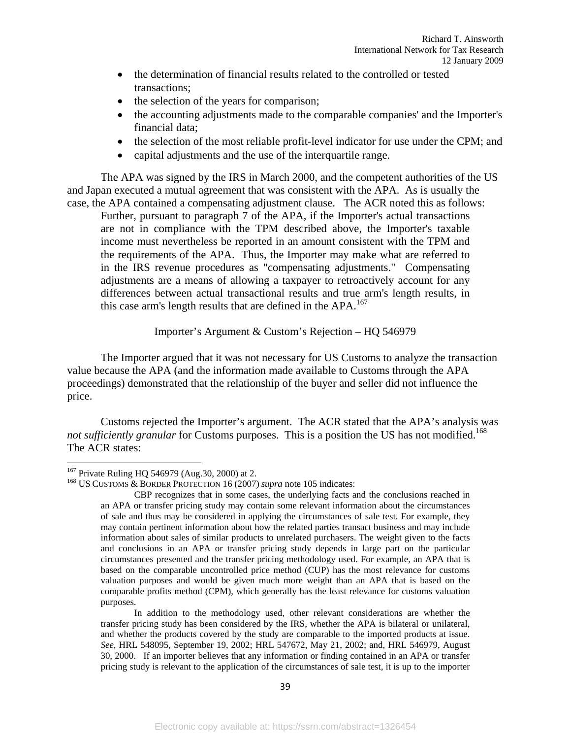- the determination of financial results related to the controlled or tested transactions;
- the selection of the years for comparison;
- the accounting adjustments made to the comparable companies' and the Importer's financial data;
- the selection of the most reliable profit-level indicator for use under the CPM; and
- capital adjustments and the use of the interquartile range.

The APA was signed by the IRS in March 2000, and the competent authorities of the US and Japan executed a mutual agreement that was consistent with the APA. As is usually the case, the APA contained a compensating adjustment clause. The ACR noted this as follows:

Further, pursuant to paragraph 7 of the APA, if the Importer's actual transactions are not in compliance with the TPM described above, the Importer's taxable income must nevertheless be reported in an amount consistent with the TPM and the requirements of the APA. Thus, the Importer may make what are referred to in the IRS revenue procedures as "compensating adjustments." Compensating adjustments are a means of allowing a taxpayer to retroactively account for any differences between actual transactional results and true arm's length results, in this case arm's length results that are defined in the APA.<sup>167</sup>

Importer's Argument & Custom's Rejection – HQ 546979

 The Importer argued that it was not necessary for US Customs to analyze the transaction value because the APA (and the information made available to Customs through the APA proceedings) demonstrated that the relationship of the buyer and seller did not influence the price.

Customs rejected the Importer's argument. The ACR stated that the APA's analysis was not sufficiently granular for Customs purposes. This is a position the US has not modified.<sup>168</sup> The ACR states:

In addition to the methodology used, other relevant considerations are whether the transfer pricing study has been considered by the IRS, whether the APA is bilateral or unilateral, and whether the products covered by the study are comparable to the imported products at issue. *See*, HRL 548095, September 19, 2002; HRL 547672, May 21, 2002; and, HRL 546979, August 30, 2000. If an importer believes that any information or finding contained in an APA or transfer pricing study is relevant to the application of the circumstances of sale test, it is up to the importer

<sup>&</sup>lt;sup>167</sup> Private Ruling HQ 546979 (Aug.30, 2000) at 2.<br><sup>168</sup> US CUSTOMS & BORDER PROTECTION 16 (2007) *supra* note 105 indicates:

CBP recognizes that in some cases, the underlying facts and the conclusions reached in an APA or transfer pricing study may contain some relevant information about the circumstances of sale and thus may be considered in applying the circumstances of sale test. For example, they may contain pertinent information about how the related parties transact business and may include information about sales of similar products to unrelated purchasers. The weight given to the facts and conclusions in an APA or transfer pricing study depends in large part on the particular circumstances presented and the transfer pricing methodology used. For example, an APA that is based on the comparable uncontrolled price method (CUP) has the most relevance for customs valuation purposes and would be given much more weight than an APA that is based on the comparable profits method (CPM), which generally has the least relevance for customs valuation purposes.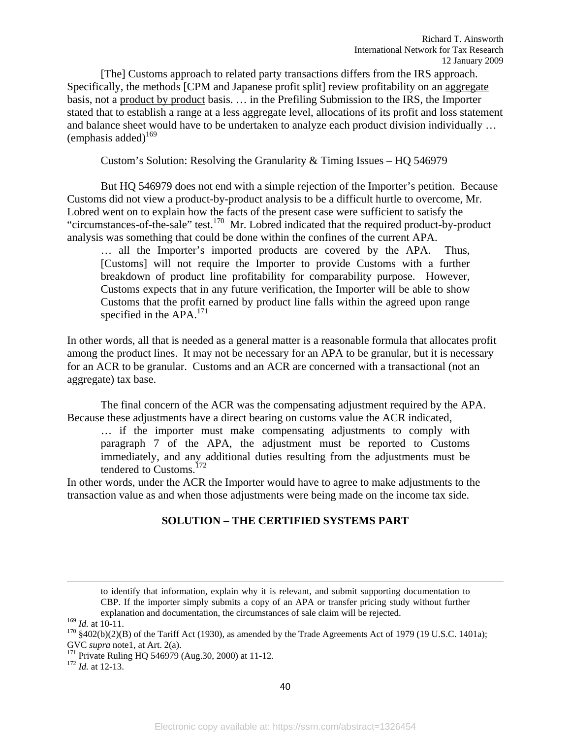[The] Customs approach to related party transactions differs from the IRS approach. Specifically, the methods [CPM and Japanese profit split] review profitability on an aggregate basis, not a product by product basis. … in the Prefiling Submission to the IRS, the Importer stated that to establish a range at a less aggregate level, allocations of its profit and loss statement and balance sheet would have to be undertaken to analyze each product division individually … (emphasis added) $169$ 

Custom's Solution: Resolving the Granularity  $&$  Timing Issues – HO 546979

 But HQ 546979 does not end with a simple rejection of the Importer's petition. Because Customs did not view a product-by-product analysis to be a difficult hurtle to overcome, Mr. Lobred went on to explain how the facts of the present case were sufficient to satisfy the "circumstances-of-the-sale" test.170 Mr. Lobred indicated that the required product-by-product analysis was something that could be done within the confines of the current APA.

… all the Importer's imported products are covered by the APA. Thus, [Customs] will not require the Importer to provide Customs with a further breakdown of product line profitability for comparability purpose. However, Customs expects that in any future verification, the Importer will be able to show Customs that the profit earned by product line falls within the agreed upon range specified in the  $APA$ .<sup>171</sup>

In other words, all that is needed as a general matter is a reasonable formula that allocates profit among the product lines. It may not be necessary for an APA to be granular, but it is necessary for an ACR to be granular. Customs and an ACR are concerned with a transactional (not an aggregate) tax base.

 The final concern of the ACR was the compensating adjustment required by the APA. Because these adjustments have a direct bearing on customs value the ACR indicated,

… if the importer must make compensating adjustments to comply with paragraph 7 of the APA, the adjustment must be reported to Customs immediately, and any additional duties resulting from the adjustments must be tendered to Customs.<sup>172</sup>

In other words, under the ACR the Importer would have to agree to make adjustments to the transaction value as and when those adjustments were being made on the income tax side.

# **SOLUTION – THE CERTIFIED SYSTEMS PART**

<u> 1989 - Johann Stoff, amerikansk politiker (d. 1989)</u>

to identify that information, explain why it is relevant, and submit supporting documentation to CBP. If the importer simply submits a copy of an APA or transfer pricing study without further explanation and documentation, the circumstances of sale claim will be rejected.<br> $^{169}$  *Id.* at 10-11.

 $^{170}$  §402(b)(2)(B) of the Tariff Act (1930), as amended by the Trade Agreements Act of 1979 (19 U.S.C. 1401a); GVC *supra* note1, at Art. 2(a). 171 Private Ruling HQ 546979 (Aug.30, 2000) at 11-12. 172 *Id.* at 12-13.